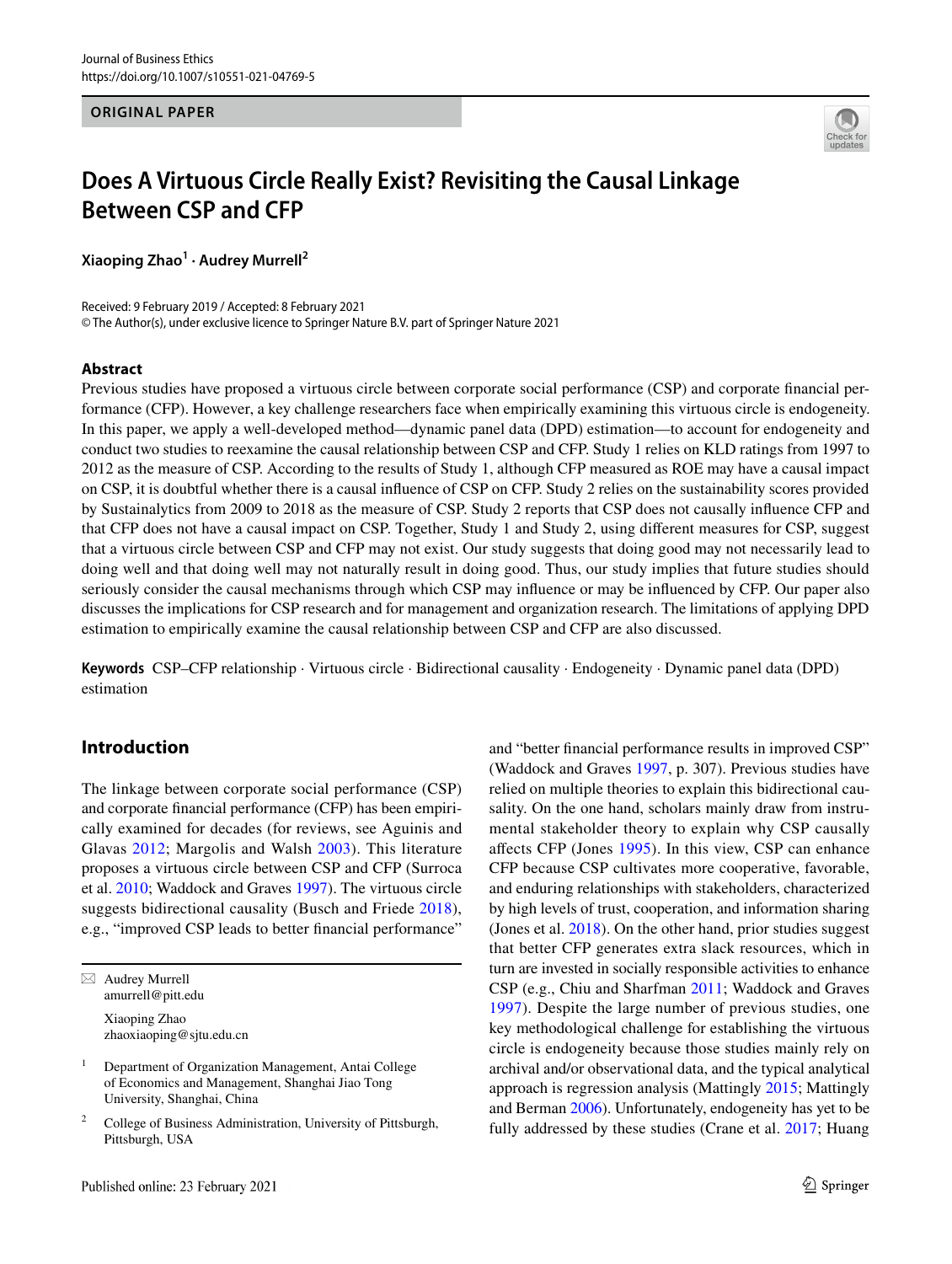#### **ORIGINAL PAPER**



# **Does A Virtuous Circle Really Exist? Revisiting the Causal Linkage Between CSP and CFP**

**Xiaoping Zhao1 · Audrey Murrell2**

Received: 9 February 2019 / Accepted: 8 February 2021 © The Author(s), under exclusive licence to Springer Nature B.V. part of Springer Nature 2021

#### **Abstract**

Previous studies have proposed a virtuous circle between corporate social performance (CSP) and corporate fnancial performance (CFP). However, a key challenge researchers face when empirically examining this virtuous circle is endogeneity. In this paper, we apply a well-developed method—dynamic panel data (DPD) estimation—to account for endogeneity and conduct two studies to reexamine the causal relationship between CSP and CFP. Study 1 relies on KLD ratings from 1997 to 2012 as the measure of CSP. According to the results of Study 1, although CFP measured as ROE may have a causal impact on CSP, it is doubtful whether there is a causal infuence of CSP on CFP. Study 2 relies on the sustainability scores provided by Sustainalytics from 2009 to 2018 as the measure of CSP. Study 2 reports that CSP does not causally infuence CFP and that CFP does not have a causal impact on CSP. Together, Study 1 and Study 2, using diferent measures for CSP, suggest that a virtuous circle between CSP and CFP may not exist. Our study suggests that doing good may not necessarily lead to doing well and that doing well may not naturally result in doing good. Thus, our study implies that future studies should seriously consider the causal mechanisms through which CSP may infuence or may be infuenced by CFP. Our paper also discusses the implications for CSP research and for management and organization research. The limitations of applying DPD estimation to empirically examine the causal relationship between CSP and CFP are also discussed.

**Keywords** CSP–CFP relationship · Virtuous circle · Bidirectional causality · Endogeneity · Dynamic panel data (DPD) estimation

## **Introduction**

The linkage between corporate social performance (CSP) and corporate fnancial performance (CFP) has been empirically examined for decades (for reviews, see Aguinis and Glavas [2012;](#page-17-0) Margolis and Walsh [2003\)](#page-18-0). This literature proposes a virtuous circle between CSP and CFP (Surroca et al. [2010;](#page-18-1) Waddock and Graves [1997](#page-18-2)). The virtuous circle suggests bidirectional causality (Busch and Friede [2018](#page-17-1)), e.g., "improved CSP leads to better fnancial performance"

 $\boxtimes$  Audrey Murrell amurrell@pitt.edu

> Xiaoping Zhao zhaoxiaoping@sjtu.edu.cn

and "better fnancial performance results in improved CSP" (Waddock and Graves [1997](#page-18-2), p. 307). Previous studies have relied on multiple theories to explain this bidirectional causality. On the one hand, scholars mainly draw from instrumental stakeholder theory to explain why CSP causally afects CFP (Jones [1995\)](#page-18-3). In this view, CSP can enhance CFP because CSP cultivates more cooperative, favorable, and enduring relationships with stakeholders, characterized by high levels of trust, cooperation, and information sharing (Jones et al. [2018](#page-18-4)). On the other hand, prior studies suggest that better CFP generates extra slack resources, which in turn are invested in socially responsible activities to enhance CSP (e.g., Chiu and Sharfman [2011;](#page-17-2) Waddock and Graves [1997\)](#page-18-2). Despite the large number of previous studies, one key methodological challenge for establishing the virtuous circle is endogeneity because those studies mainly rely on archival and/or observational data, and the typical analytical approach is regression analysis (Mattingly [2015](#page-18-5); Mattingly and Berman [2006\)](#page-18-6). Unfortunately, endogeneity has yet to be fully addressed by these studies (Crane et al. [2017;](#page-17-3) Huang

<sup>&</sup>lt;sup>1</sup> Department of Organization Management, Antai College of Economics and Management, Shanghai Jiao Tong University, Shanghai, China

<sup>2</sup> College of Business Administration, University of Pittsburgh, Pittsburgh, USA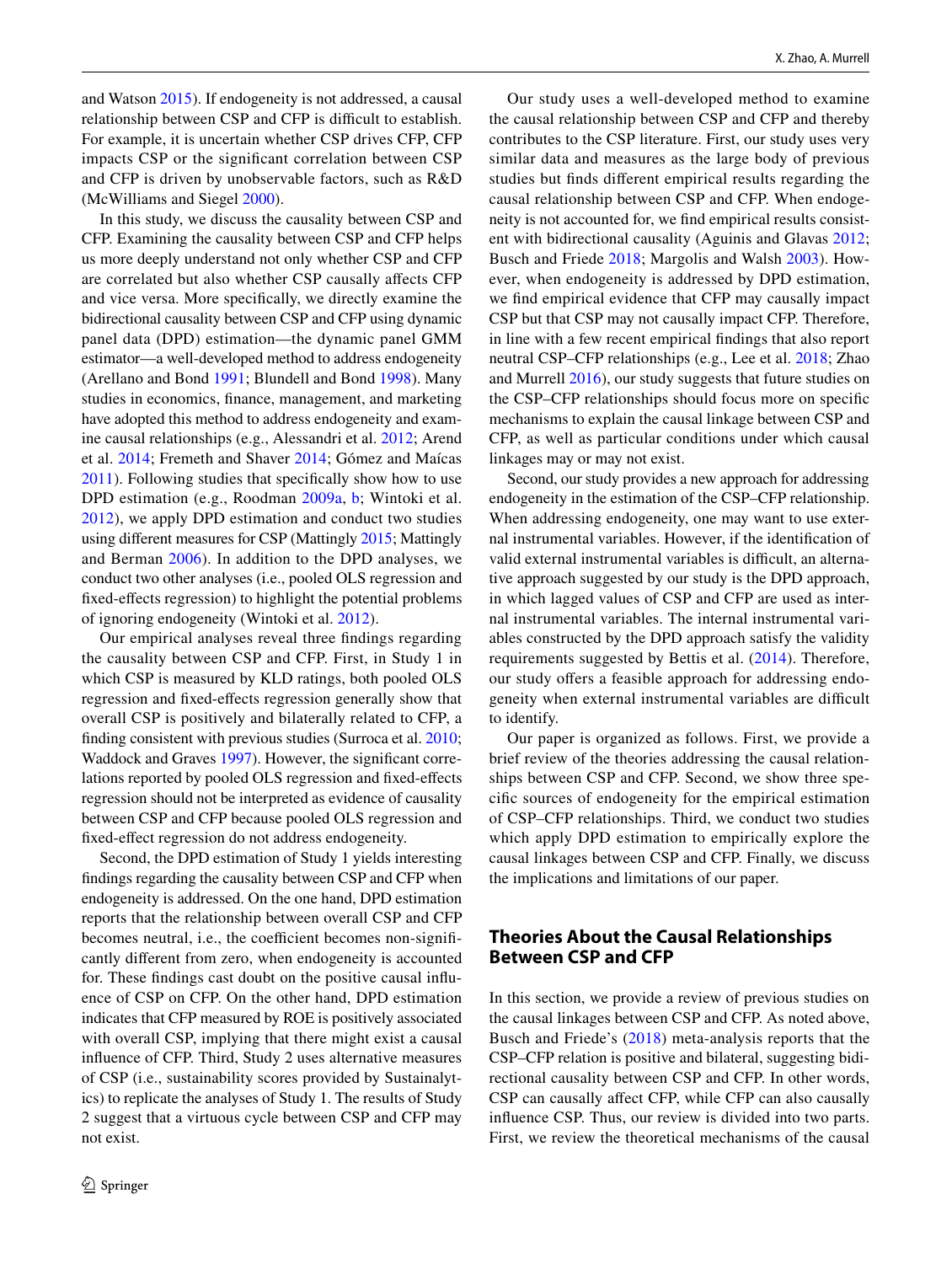and Watson [2015](#page-18-7)). If endogeneity is not addressed, a causal relationship between CSP and CFP is difficult to establish. For example, it is uncertain whether CSP drives CFP, CFP impacts CSP or the signifcant correlation between CSP and CFP is driven by unobservable factors, such as R&D (McWilliams and Siegel [2000\)](#page-18-8).

In this study, we discuss the causality between CSP and CFP. Examining the causality between CSP and CFP helps us more deeply understand not only whether CSP and CFP are correlated but also whether CSP causally afects CFP and vice versa. More specifcally, we directly examine the bidirectional causality between CSP and CFP using dynamic panel data (DPD) estimation—the dynamic panel GMM estimator—a well-developed method to address endogeneity (Arellano and Bond [1991;](#page-17-4) Blundell and Bond [1998\)](#page-17-5). Many studies in economics, fnance, management, and marketing have adopted this method to address endogeneity and examine causal relationships (e.g., Alessandri et al. [2012;](#page-17-6) Arend et al. [2014](#page-17-7); Fremeth and Shaver [2014;](#page-17-8) Gómez and Maícas [2011](#page-18-9)). Following studies that specifcally show how to use DPD estimation (e.g., Roodman [2009a](#page-18-10), [b](#page-18-11); Wintoki et al. [2012\)](#page-19-0), we apply DPD estimation and conduct two studies using diferent measures for CSP (Mattingly [2015;](#page-18-5) Mattingly and Berman [2006](#page-18-6)). In addition to the DPD analyses, we conduct two other analyses (i.e., pooled OLS regression and fxed-efects regression) to highlight the potential problems of ignoring endogeneity (Wintoki et al. [2012](#page-19-0)).

Our empirical analyses reveal three fndings regarding the causality between CSP and CFP. First, in Study 1 in which CSP is measured by KLD ratings, both pooled OLS regression and fxed-efects regression generally show that overall CSP is positively and bilaterally related to CFP, a finding consistent with previous studies (Surroca et al. [2010](#page-18-1); Waddock and Graves [1997\)](#page-18-2). However, the significant correlations reported by pooled OLS regression and fxed-efects regression should not be interpreted as evidence of causality between CSP and CFP because pooled OLS regression and fxed-efect regression do not address endogeneity.

Second, the DPD estimation of Study 1 yields interesting fndings regarding the causality between CSP and CFP when endogeneity is addressed. On the one hand, DPD estimation reports that the relationship between overall CSP and CFP becomes neutral, i.e., the coefficient becomes non-significantly diferent from zero, when endogeneity is accounted for. These fndings cast doubt on the positive causal infuence of CSP on CFP. On the other hand, DPD estimation indicates that CFP measured by ROE is positively associated with overall CSP, implying that there might exist a causal infuence of CFP. Third, Study 2 uses alternative measures of CSP (i.e., sustainability scores provided by Sustainalytics) to replicate the analyses of Study 1. The results of Study 2 suggest that a virtuous cycle between CSP and CFP may not exist.

Our study uses a well-developed method to examine the causal relationship between CSP and CFP and thereby contributes to the CSP literature. First, our study uses very similar data and measures as the large body of previous studies but fnds diferent empirical results regarding the causal relationship between CSP and CFP. When endogeneity is not accounted for, we fnd empirical results consistent with bidirectional causality (Aguinis and Glavas [2012](#page-17-0); Busch and Friede [2018](#page-17-1); Margolis and Walsh [2003\)](#page-18-0). However, when endogeneity is addressed by DPD estimation, we fnd empirical evidence that CFP may causally impact CSP but that CSP may not causally impact CFP. Therefore, in line with a few recent empirical fndings that also report neutral CSP–CFP relationships (e.g., Lee et al. [2018](#page-18-12); Zhao and Murrell [2016](#page-19-1)), our study suggests that future studies on the CSP–CFP relationships should focus more on specifc mechanisms to explain the causal linkage between CSP and CFP, as well as particular conditions under which causal linkages may or may not exist.

Second, our study provides a new approach for addressing endogeneity in the estimation of the CSP–CFP relationship. When addressing endogeneity, one may want to use external instrumental variables. However, if the identifcation of valid external instrumental variables is difficult, an alternative approach suggested by our study is the DPD approach, in which lagged values of CSP and CFP are used as internal instrumental variables. The internal instrumental variables constructed by the DPD approach satisfy the validity requirements suggested by Bettis et al. ([2014\)](#page-17-9). Therefore, our study offers a feasible approach for addressing endogeneity when external instrumental variables are difficult to identify.

Our paper is organized as follows. First, we provide a brief review of the theories addressing the causal relationships between CSP and CFP. Second, we show three specifc sources of endogeneity for the empirical estimation of CSP–CFP relationships. Third, we conduct two studies which apply DPD estimation to empirically explore the causal linkages between CSP and CFP. Finally, we discuss the implications and limitations of our paper.

## **Theories About the Causal Relationships Between CSP and CFP**

In this section, we provide a review of previous studies on the causal linkages between CSP and CFP. As noted above, Busch and Friede's [\(2018\)](#page-17-1) meta-analysis reports that the CSP–CFP relation is positive and bilateral, suggesting bidirectional causality between CSP and CFP. In other words, CSP can causally affect CFP, while CFP can also causally infuence CSP. Thus, our review is divided into two parts. First, we review the theoretical mechanisms of the causal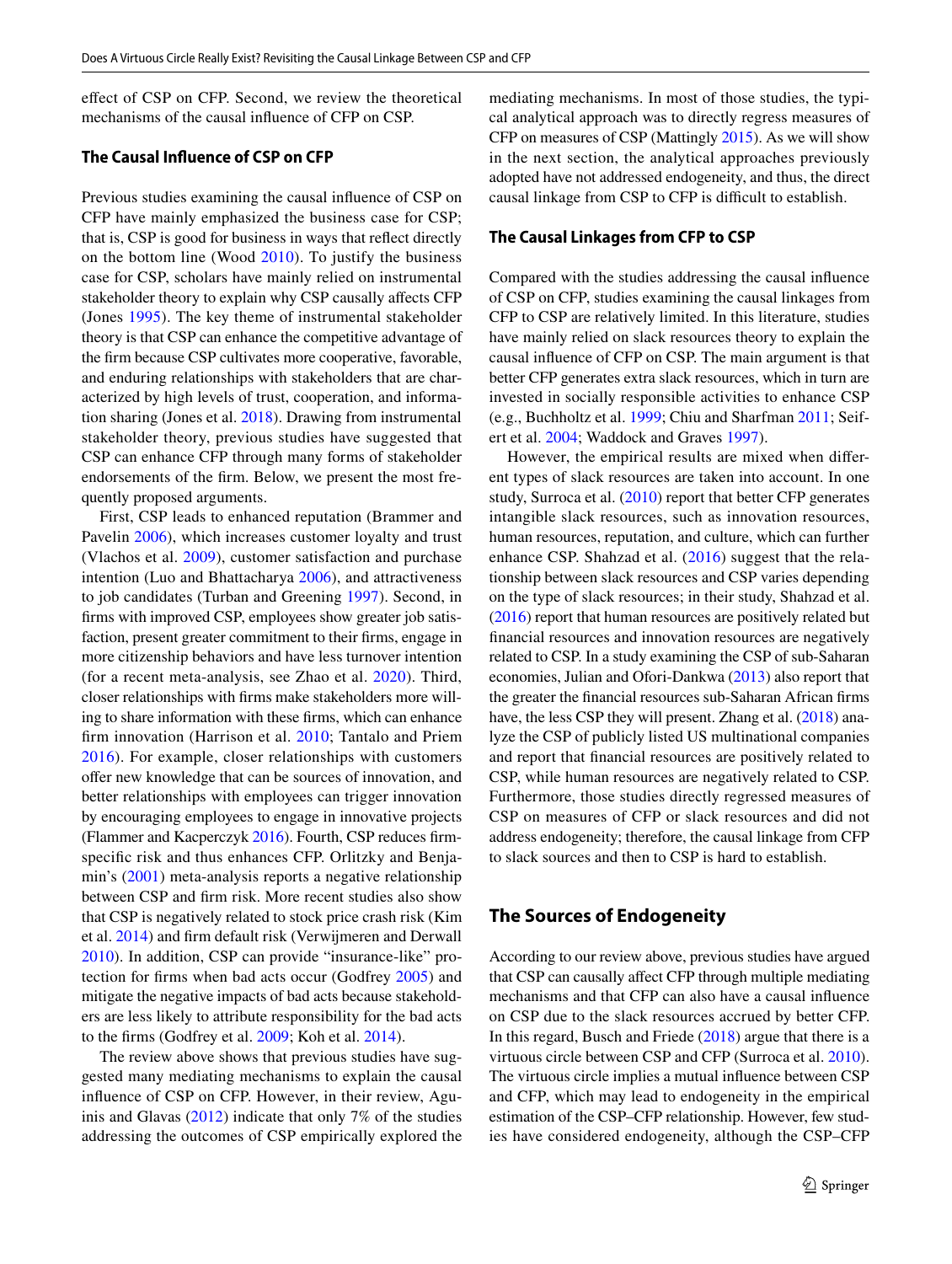efect of CSP on CFP. Second, we review the theoretical mechanisms of the causal infuence of CFP on CSP.

## **The Causal Infuence of CSP on CFP**

Previous studies examining the causal infuence of CSP on CFP have mainly emphasized the business case for CSP; that is, CSP is good for business in ways that refect directly on the bottom line (Wood [2010](#page-19-2)). To justify the business case for CSP, scholars have mainly relied on instrumental stakeholder theory to explain why CSP causally afects CFP (Jones [1995\)](#page-18-3). The key theme of instrumental stakeholder theory is that CSP can enhance the competitive advantage of the frm because CSP cultivates more cooperative, favorable, and enduring relationships with stakeholders that are characterized by high levels of trust, cooperation, and information sharing (Jones et al. [2018\)](#page-18-4). Drawing from instrumental stakeholder theory, previous studies have suggested that CSP can enhance CFP through many forms of stakeholder endorsements of the frm. Below, we present the most frequently proposed arguments.

First, CSP leads to enhanced reputation (Brammer and Pavelin [2006](#page-17-10)), which increases customer loyalty and trust (Vlachos et al. [2009](#page-18-13)), customer satisfaction and purchase intention (Luo and Bhattacharya [2006](#page-18-14)), and attractiveness to job candidates (Turban and Greening [1997](#page-18-15)). Second, in frms with improved CSP, employees show greater job satisfaction, present greater commitment to their frms, engage in more citizenship behaviors and have less turnover intention (for a recent meta-analysis, see Zhao et al. [2020](#page-19-3)). Third, closer relationships with frms make stakeholders more willing to share information with these frms, which can enhance frm innovation (Harrison et al. [2010](#page-18-16); Tantalo and Priem [2016\)](#page-18-17). For example, closer relationships with customers ofer new knowledge that can be sources of innovation, and better relationships with employees can trigger innovation by encouraging employees to engage in innovative projects (Flammer and Kacperczyk [2016\)](#page-17-11). Fourth, CSP reduces frmspecific risk and thus enhances CFP. Orlitzky and Benjamin's ([2001\)](#page-18-18) meta-analysis reports a negative relationship between CSP and frm risk. More recent studies also show that CSP is negatively related to stock price crash risk (Kim et al. [2014\)](#page-18-19) and frm default risk (Verwijmeren and Derwall [2010](#page-18-20)). In addition, CSP can provide "insurance-like" protection for frms when bad acts occur (Godfrey [2005](#page-17-12)) and mitigate the negative impacts of bad acts because stakeholders are less likely to attribute responsibility for the bad acts to the frms (Godfrey et al. [2009;](#page-17-13) Koh et al. [2014](#page-18-21)).

The review above shows that previous studies have suggested many mediating mechanisms to explain the causal infuence of CSP on CFP. However, in their review, Aguinis and Glavas ([2012\)](#page-17-0) indicate that only 7% of the studies addressing the outcomes of CSP empirically explored the mediating mechanisms. In most of those studies, the typical analytical approach was to directly regress measures of CFP on measures of CSP (Mattingly [2015](#page-18-5)). As we will show in the next section, the analytical approaches previously adopted have not addressed endogeneity, and thus, the direct causal linkage from CSP to CFP is difficult to establish.

#### **The Causal Linkages from CFP to CSP**

Compared with the studies addressing the causal infuence of CSP on CFP, studies examining the causal linkages from CFP to CSP are relatively limited. In this literature, studies have mainly relied on slack resources theory to explain the causal infuence of CFP on CSP. The main argument is that better CFP generates extra slack resources, which in turn are invested in socially responsible activities to enhance CSP (e.g., Buchholtz et al. [1999](#page-17-14); Chiu and Sharfman [2011;](#page-17-2) Seifert et al. [2004;](#page-18-22) Waddock and Graves [1997\)](#page-18-2).

However, the empirical results are mixed when diferent types of slack resources are taken into account. In one study, Surroca et al. [\(2010](#page-18-1)) report that better CFP generates intangible slack resources, such as innovation resources, human resources, reputation, and culture, which can further enhance CSP. Shahzad et al. [\(2016](#page-18-23)) suggest that the relationship between slack resources and CSP varies depending on the type of slack resources; in their study, Shahzad et al. [\(2016](#page-18-23)) report that human resources are positively related but fnancial resources and innovation resources are negatively related to CSP. In a study examining the CSP of sub-Saharan economies, Julian and Ofori-Dankwa [\(2013](#page-18-24)) also report that the greater the fnancial resources sub-Saharan African frms have, the less CSP they will present. Zhang et al. ([2018\)](#page-19-4) analyze the CSP of publicly listed US multinational companies and report that fnancial resources are positively related to CSP, while human resources are negatively related to CSP. Furthermore, those studies directly regressed measures of CSP on measures of CFP or slack resources and did not address endogeneity; therefore, the causal linkage from CFP to slack sources and then to CSP is hard to establish.

## **The Sources of Endogeneity**

According to our review above, previous studies have argued that CSP can causally afect CFP through multiple mediating mechanisms and that CFP can also have a causal infuence on CSP due to the slack resources accrued by better CFP. In this regard, Busch and Friede [\(2018](#page-17-1)) argue that there is a virtuous circle between CSP and CFP (Surroca et al. [2010](#page-18-1)). The virtuous circle implies a mutual infuence between CSP and CFP, which may lead to endogeneity in the empirical estimation of the CSP–CFP relationship. However, few studies have considered endogeneity, although the CSP–CFP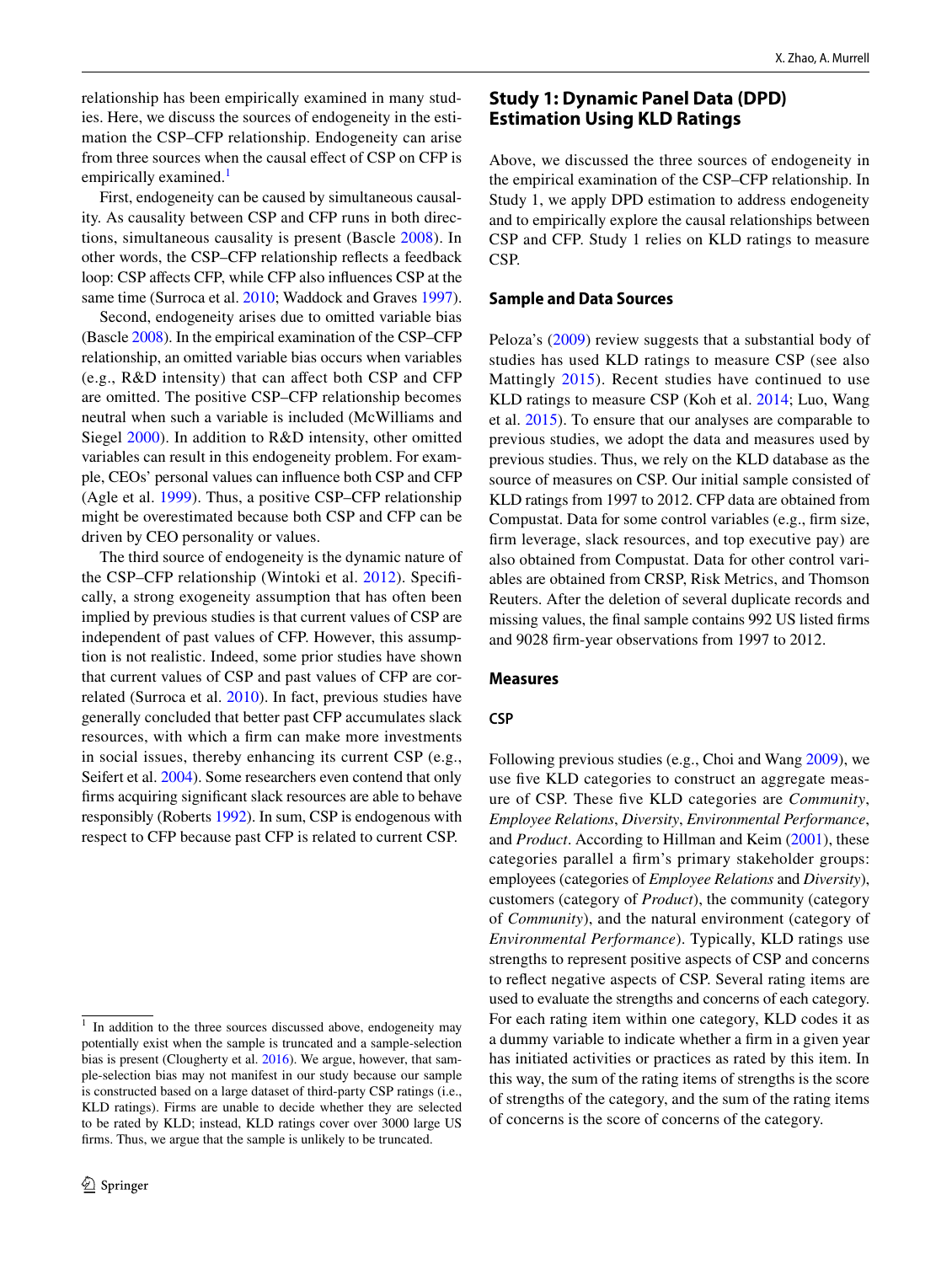relationship has been empirically examined in many studies. Here, we discuss the sources of endogeneity in the estimation the CSP–CFP relationship. Endogeneity can arise from three sources when the causal effect of CSP on CFP is empirically examined.<sup>[1](#page-3-0)</sup>

First, endogeneity can be caused by simultaneous causality. As causality between CSP and CFP runs in both directions, simultaneous causality is present (Bascle [2008\)](#page-17-15). In other words, the CSP–CFP relationship refects a feedback loop: CSP afects CFP, while CFP also infuences CSP at the same time (Surroca et al. [2010](#page-18-1); Waddock and Graves [1997](#page-18-2)).

Second, endogeneity arises due to omitted variable bias (Bascle [2008](#page-17-15)). In the empirical examination of the CSP–CFP relationship, an omitted variable bias occurs when variables (e.g., R&D intensity) that can afect both CSP and CFP are omitted. The positive CSP–CFP relationship becomes neutral when such a variable is included (McWilliams and Siegel [2000](#page-18-8)). In addition to R&D intensity, other omitted variables can result in this endogeneity problem. For example, CEOs' personal values can infuence both CSP and CFP (Agle et al. [1999](#page-17-16)). Thus, a positive CSP–CFP relationship might be overestimated because both CSP and CFP can be driven by CEO personality or values.

The third source of endogeneity is the dynamic nature of the CSP–CFP relationship (Wintoki et al. [2012\)](#page-19-0). Specifcally, a strong exogeneity assumption that has often been implied by previous studies is that current values of CSP are independent of past values of CFP. However, this assumption is not realistic. Indeed, some prior studies have shown that current values of CSP and past values of CFP are correlated (Surroca et al. [2010](#page-18-1)). In fact, previous studies have generally concluded that better past CFP accumulates slack resources, with which a frm can make more investments in social issues, thereby enhancing its current CSP (e.g., Seifert et al. [2004\)](#page-18-22). Some researchers even contend that only frms acquiring signifcant slack resources are able to behave responsibly (Roberts [1992](#page-18-25)). In sum, CSP is endogenous with respect to CFP because past CFP is related to current CSP.

## **Study 1: Dynamic Panel Data (DPD) Estimation Using KLD Ratings**

Above, we discussed the three sources of endogeneity in the empirical examination of the CSP–CFP relationship. In Study 1, we apply DPD estimation to address endogeneity and to empirically explore the causal relationships between CSP and CFP. Study 1 relies on KLD ratings to measure CSP.

#### **Sample and Data Sources**

Peloza's ([2009](#page-18-26)) review suggests that a substantial body of studies has used KLD ratings to measure CSP (see also Mattingly [2015\)](#page-18-5). Recent studies have continued to use KLD ratings to measure CSP (Koh et al. [2014;](#page-18-21) Luo, Wang et al. [2015\)](#page-18-27). To ensure that our analyses are comparable to previous studies, we adopt the data and measures used by previous studies. Thus, we rely on the KLD database as the source of measures on CSP. Our initial sample consisted of KLD ratings from 1997 to 2012. CFP data are obtained from Compustat. Data for some control variables (e.g., frm size, frm leverage, slack resources, and top executive pay) are also obtained from Compustat. Data for other control variables are obtained from CRSP, Risk Metrics, and Thomson Reuters. After the deletion of several duplicate records and missing values, the fnal sample contains 992 US listed frms and 9028 frm-year observations from 1997 to 2012.

### **Measures**

#### **CSP**

Following previous studies (e.g., Choi and Wang [2009\)](#page-17-17), we use five KLD categories to construct an aggregate measure of CSP. These fve KLD categories are *Community*, *Employee Relations*, *Diversity*, *Environmental Performance*, and *Product*. According to Hillman and Keim ([2001](#page-18-28)), these categories parallel a frm's primary stakeholder groups: employees (categories of *Employee Relations* and *Diversity*), customers (category of *Product*), the community (category of *Community*), and the natural environment (category of *Environmental Performance*). Typically, KLD ratings use strengths to represent positive aspects of CSP and concerns to refect negative aspects of CSP. Several rating items are used to evaluate the strengths and concerns of each category. For each rating item within one category, KLD codes it as a dummy variable to indicate whether a frm in a given year has initiated activities or practices as rated by this item. In this way, the sum of the rating items of strengths is the score of strengths of the category, and the sum of the rating items of concerns is the score of concerns of the category.

<span id="page-3-0"></span> $1$  In addition to the three sources discussed above, endogeneity may potentially exist when the sample is truncated and a sample-selection bias is present (Clougherty et al. [2016\)](#page-17-18). We argue, however, that sample-selection bias may not manifest in our study because our sample is constructed based on a large dataset of third-party CSP ratings (i.e., KLD ratings). Firms are unable to decide whether they are selected to be rated by KLD; instead, KLD ratings cover over 3000 large US frms. Thus, we argue that the sample is unlikely to be truncated.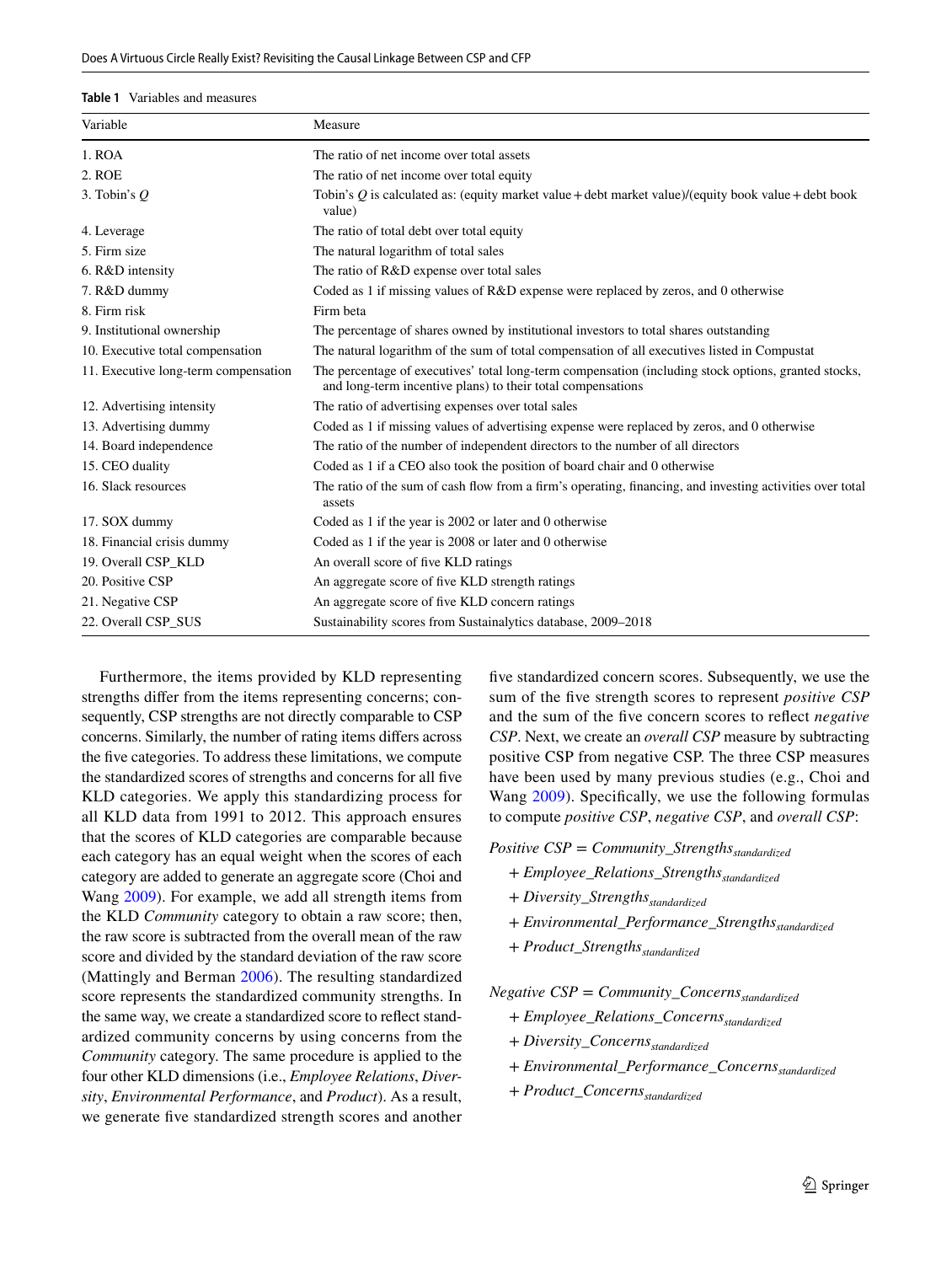<span id="page-4-0"></span>

| Variable                             | Measure                                                                                                                                                             |
|--------------------------------------|---------------------------------------------------------------------------------------------------------------------------------------------------------------------|
| 1. ROA                               | The ratio of net income over total assets                                                                                                                           |
| 2. ROE                               | The ratio of net income over total equity                                                                                                                           |
| 3. Tobin's $Q$                       | Tobin's Q is calculated as: (equity market value + debt market value)/(equity book value + debt book<br>value)                                                      |
| 4. Leverage                          | The ratio of total debt over total equity                                                                                                                           |
| 5. Firm size                         | The natural logarithm of total sales                                                                                                                                |
| 6. R&D intensity                     | The ratio of R&D expense over total sales                                                                                                                           |
| 7. R&D dummy                         | Coded as 1 if missing values of R&D expense were replaced by zeros, and 0 otherwise                                                                                 |
| 8. Firm risk                         | Firm beta                                                                                                                                                           |
| 9. Institutional ownership           | The percentage of shares owned by institutional investors to total shares outstanding                                                                               |
| 10. Executive total compensation     | The natural logarithm of the sum of total compensation of all executives listed in Compustat                                                                        |
| 11. Executive long-term compensation | The percentage of executives' total long-term compensation (including stock options, granted stocks,<br>and long-term incentive plans) to their total compensations |
| 12. Advertising intensity            | The ratio of advertising expenses over total sales                                                                                                                  |
| 13. Advertising dummy                | Coded as 1 if missing values of advertising expense were replaced by zeros, and 0 otherwise                                                                         |
| 14. Board independence               | The ratio of the number of independent directors to the number of all directors                                                                                     |
| 15. CEO duality                      | Coded as 1 if a CEO also took the position of board chair and 0 otherwise                                                                                           |
| 16. Slack resources                  | The ratio of the sum of cash flow from a firm's operating, financing, and investing activities over total<br>assets                                                 |
| 17. SOX dummy                        | Coded as 1 if the year is 2002 or later and 0 otherwise                                                                                                             |
| 18. Financial crisis dummy           | Coded as 1 if the year is 2008 or later and 0 otherwise                                                                                                             |
| 19. Overall CSP KLD                  | An overall score of five KLD ratings                                                                                                                                |
| 20. Positive CSP                     | An aggregate score of five KLD strength ratings                                                                                                                     |
| 21. Negative CSP                     | An aggregate score of five KLD concern ratings                                                                                                                      |
| 22. Overall CSP_SUS                  | Sustainability scores from Sustainalytics database, 2009–2018                                                                                                       |

Furthermore, the items provided by KLD representing strengths difer from the items representing concerns; consequently, CSP strengths are not directly comparable to CSP concerns. Similarly, the number of rating items difers across the five categories. To address these limitations, we compute the standardized scores of strengths and concerns for all fve KLD categories. We apply this standardizing process for all KLD data from 1991 to 2012. This approach ensures that the scores of KLD categories are comparable because each category has an equal weight when the scores of each category are added to generate an aggregate score (Choi and Wang [2009\)](#page-17-17). For example, we add all strength items from the KLD *Community* category to obtain a raw score; then, the raw score is subtracted from the overall mean of the raw score and divided by the standard deviation of the raw score (Mattingly and Berman [2006\)](#page-18-6). The resulting standardized score represents the standardized community strengths. In the same way, we create a standardized score to refect standardized community concerns by using concerns from the *Community* category. The same procedure is applied to the four other KLD dimensions (i.e., *Employee Relations*, *Diversity*, *Environmental Performance*, and *Product*). As a result, we generate fve standardized strength scores and another fve standardized concern scores. Subsequently, we use the sum of the fve strength scores to represent *positive CSP* and the sum of the fve concern scores to refect *negative CSP*. Next, we create an *overall CSP* measure by subtracting positive CSP from negative CSP. The three CSP measures have been used by many previous studies (e.g., Choi and Wang [2009\)](#page-17-17). Specifcally, we use the following formulas to compute *positive CSP*, *negative CSP*, and *overall CSP*:

*Positive CSP* = *Community\_Strengths*<sub>standardized</sub>

- + *Employee\_Relations\_Strengths*<sub>standardized</sub>
- + *Diversity\_Strengths*<sub>standardized</sub>
- + *Environmental\_Performance\_Strengths*<sub>standardized</sub>
- + *Product\_Strengths*<sub>standardized</sub>

*Negative CSP* <sup>=</sup> *Community*\_*Concernsstandardized*

- <sup>+</sup> *Employee*\_*Relations*\_*Concernsstandardized*
- + *Diversity\_Concerns*<sub>standardized</sub>
- <sup>+</sup> *Environmental*\_*Performance*\_*Concernsstandardized*
- <sup>+</sup> *Product*\_*Concernsstandardized*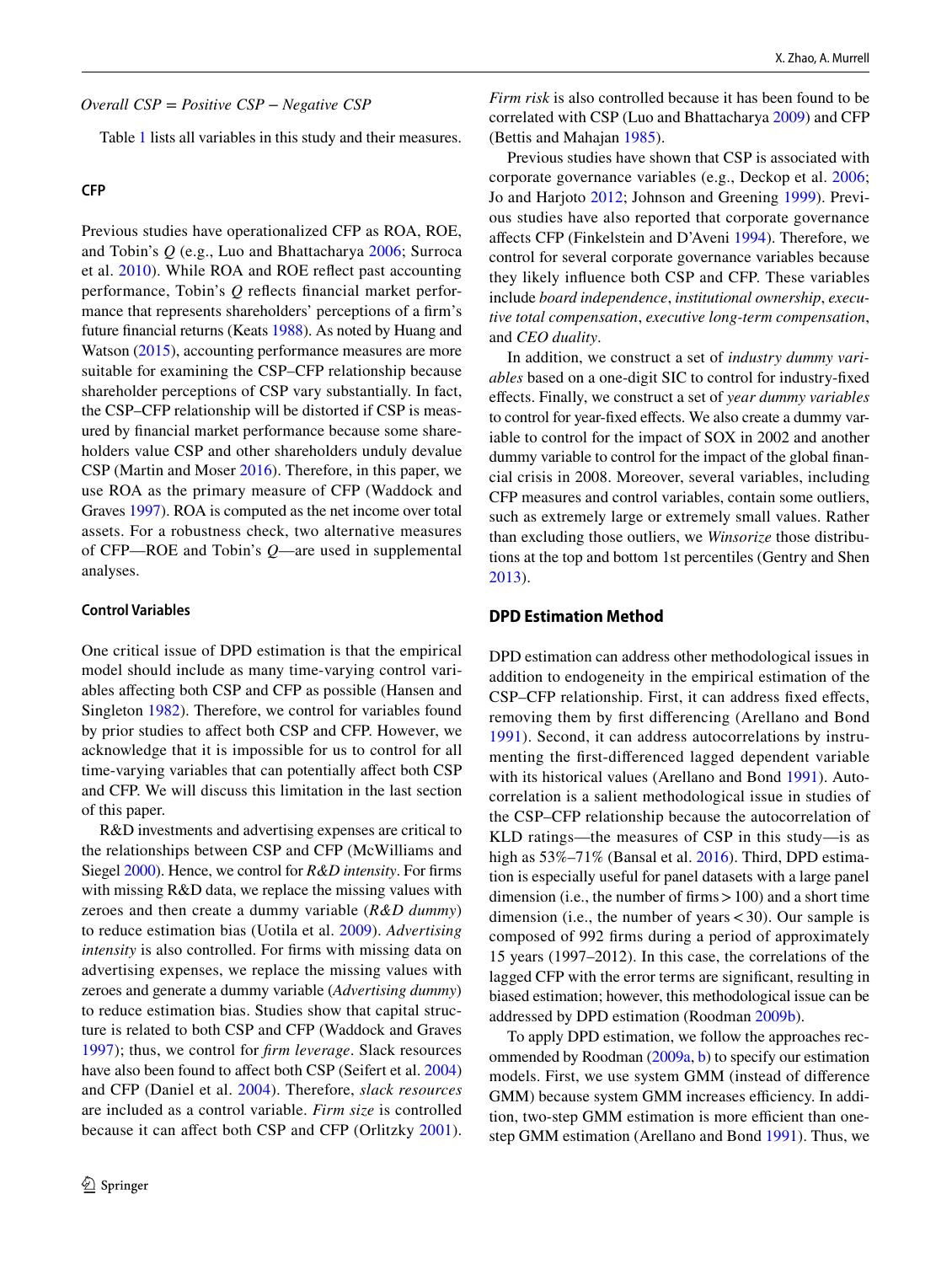Table [1](#page-4-0) lists all variables in this study and their measures.

#### **CFP**

Previous studies have operationalized CFP as ROA, ROE, and Tobin's *Q* (e.g., Luo and Bhattacharya [2006](#page-18-14); Surroca et al. [2010\)](#page-18-1). While ROA and ROE refect past accounting performance, Tobin's *Q* refects fnancial market performance that represents shareholders' perceptions of a frm's future fnancial returns (Keats [1988\)](#page-18-29). As noted by Huang and Watson ([2015\)](#page-18-7), accounting performance measures are more suitable for examining the CSP–CFP relationship because shareholder perceptions of CSP vary substantially. In fact, the CSP–CFP relationship will be distorted if CSP is measured by fnancial market performance because some shareholders value CSP and other shareholders unduly devalue CSP (Martin and Moser [2016](#page-18-30)). Therefore, in this paper, we use ROA as the primary measure of CFP (Waddock and Graves [1997\)](#page-18-2). ROA is computed as the net income over total assets. For a robustness check, two alternative measures of CFP—ROE and Tobin's *Q*—are used in supplemental analyses.

#### **Control Variables**

One critical issue of DPD estimation is that the empirical model should include as many time-varying control variables afecting both CSP and CFP as possible (Hansen and Singleton [1982\)](#page-18-31). Therefore, we control for variables found by prior studies to afect both CSP and CFP. However, we acknowledge that it is impossible for us to control for all time-varying variables that can potentially affect both CSP and CFP. We will discuss this limitation in the last section of this paper.

R&D investments and advertising expenses are critical to the relationships between CSP and CFP (McWilliams and Siegel [2000](#page-18-8)). Hence, we control for *R&D intensity*. For frms with missing R&D data, we replace the missing values with zeroes and then create a dummy variable (*R&D dummy*) to reduce estimation bias (Uotila et al. [2009\)](#page-18-32). *Advertising intensity* is also controlled. For frms with missing data on advertising expenses, we replace the missing values with zeroes and generate a dummy variable (*Advertising dummy*) to reduce estimation bias. Studies show that capital structure is related to both CSP and CFP (Waddock and Graves [1997\)](#page-18-2); thus, we control for *frm leverage*. Slack resources have also been found to affect both CSP (Seifert et al. [2004\)](#page-18-22) and CFP (Daniel et al. [2004\)](#page-17-19). Therefore, *slack resources* are included as a control variable. *Firm size* is controlled because it can afect both CSP and CFP (Orlitzky [2001](#page-18-33)).

*Overall CSP* = *Positive CSP* − *Negative CSP Firm risk* is also controlled because it has been found to be correlated with CSP (Luo and Bhattacharya [2009\)](#page-18-34) and CFP (Bettis and Mahajan [1985](#page-17-20)).

> Previous studies have shown that CSP is associated with corporate governance variables (e.g., Deckop et al. [2006](#page-17-21); Jo and Harjoto [2012](#page-18-35); Johnson and Greening [1999\)](#page-18-36). Previous studies have also reported that corporate governance afects CFP (Finkelstein and D'Aveni [1994\)](#page-17-22). Therefore, we control for several corporate governance variables because they likely infuence both CSP and CFP. These variables include *board independence*, *institutional ownership*, *executive total compensation*, *executive long-term compensation*, and *CEO duality*.

> In addition, we construct a set of *industry dummy variables* based on a one-digit SIC to control for industry-fxed efects. Finally, we construct a set of *year dummy variables* to control for year-fxed efects. We also create a dummy variable to control for the impact of SOX in 2002 and another dummy variable to control for the impact of the global fnancial crisis in 2008. Moreover, several variables, including CFP measures and control variables, contain some outliers, such as extremely large or extremely small values. Rather than excluding those outliers, we *Winsorize* those distributions at the top and bottom 1st percentiles (Gentry and Shen [2013](#page-17-23)).

#### **DPD Estimation Method**

DPD estimation can address other methodological issues in addition to endogeneity in the empirical estimation of the CSP–CFP relationship. First, it can address fxed efects, removing them by frst diferencing (Arellano and Bond [1991\)](#page-17-4). Second, it can address autocorrelations by instrumenting the frst-diferenced lagged dependent variable with its historical values (Arellano and Bond [1991](#page-17-4)). Autocorrelation is a salient methodological issue in studies of the CSP–CFP relationship because the autocorrelation of KLD ratings—the measures of CSP in this study—is as high as  $53\% -71\%$  (Bansal et al. [2016](#page-17-24)). Third, DPD estimation is especially useful for panel datasets with a large panel dimension (i.e., the number of firms > 100) and a short time dimension (i.e., the number of years  $<$  30). Our sample is composed of 992 frms during a period of approximately 15 years (1997–2012). In this case, the correlations of the lagged CFP with the error terms are signifcant, resulting in biased estimation; however, this methodological issue can be addressed by DPD estimation (Roodman [2009b\)](#page-18-11).

To apply DPD estimation, we follow the approaches recommended by Roodman [\(2009a](#page-18-10), [b\)](#page-18-11) to specify our estimation models. First, we use system GMM (instead of diference GMM) because system GMM increases efficiency. In addition, two-step GMM estimation is more efficient than onestep GMM estimation (Arellano and Bond [1991](#page-17-4)). Thus, we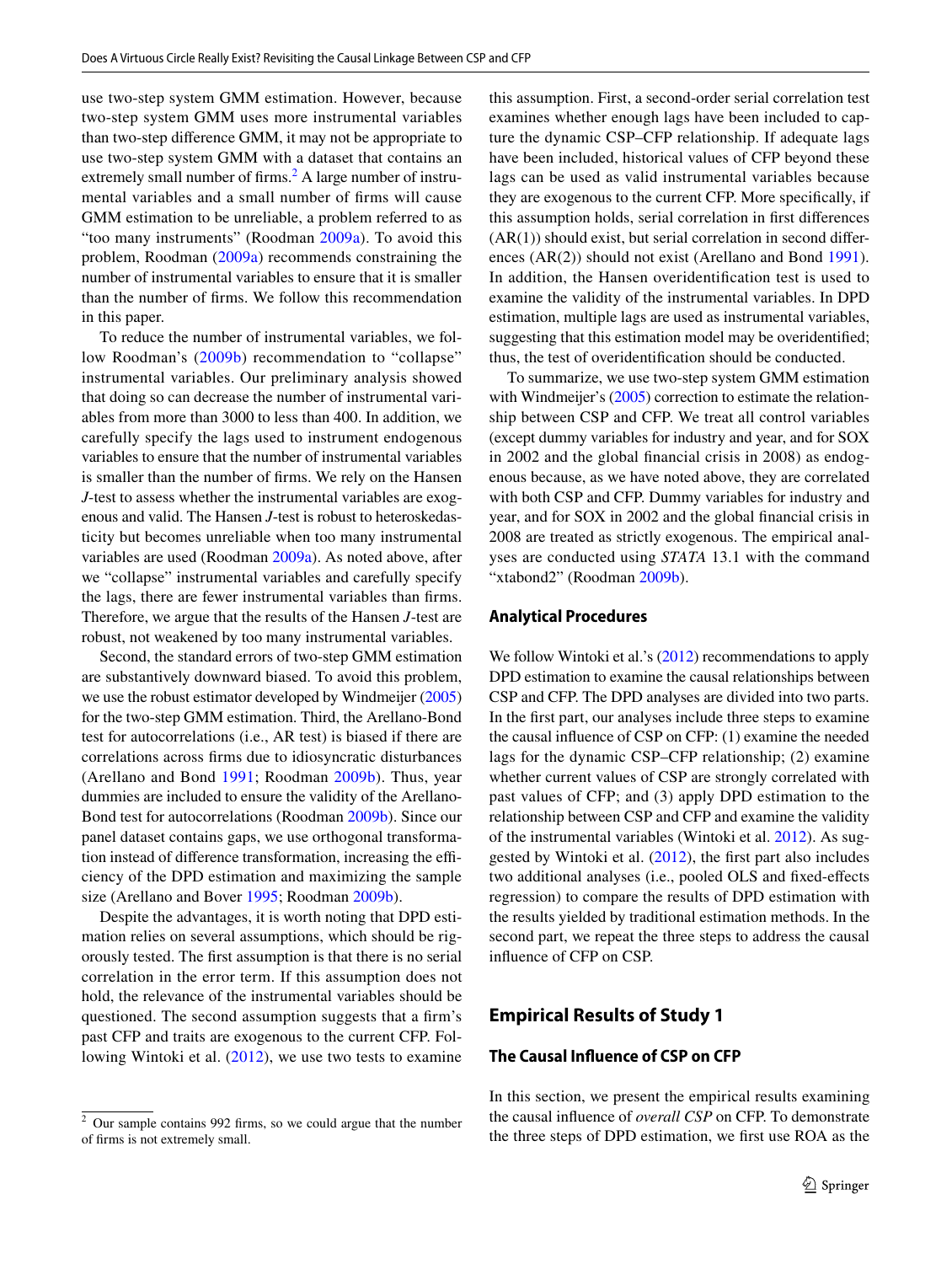use two-step system GMM estimation. However, because two-step system GMM uses more instrumental variables than two-step diference GMM, it may not be appropriate to use two-step system GMM with a dataset that contains an extremely small number of firms.<sup>[2](#page-6-0)</sup> A large number of instrumental variables and a small number of frms will cause GMM estimation to be unreliable, a problem referred to as "too many instruments" (Roodman [2009a](#page-18-10)). To avoid this problem, Roodman [\(2009a](#page-18-10)) recommends constraining the number of instrumental variables to ensure that it is smaller than the number of frms. We follow this recommendation in this paper.

To reduce the number of instrumental variables, we fol-low Roodman's ([2009b](#page-18-11)) recommendation to "collapse" instrumental variables. Our preliminary analysis showed that doing so can decrease the number of instrumental variables from more than 3000 to less than 400. In addition, we carefully specify the lags used to instrument endogenous variables to ensure that the number of instrumental variables is smaller than the number of frms. We rely on the Hansen *J*-test to assess whether the instrumental variables are exogenous and valid. The Hansen *J*-test is robust to heteroskedasticity but becomes unreliable when too many instrumental variables are used (Roodman [2009a](#page-18-10)). As noted above, after we "collapse" instrumental variables and carefully specify the lags, there are fewer instrumental variables than frms. Therefore, we argue that the results of the Hansen *J*-test are robust, not weakened by too many instrumental variables.

Second, the standard errors of two-step GMM estimation are substantively downward biased. To avoid this problem, we use the robust estimator developed by Windmeijer [\(2005\)](#page-19-5) for the two-step GMM estimation. Third, the Arellano-Bond test for autocorrelations (i.e., AR test) is biased if there are correlations across frms due to idiosyncratic disturbances (Arellano and Bond [1991](#page-17-4); Roodman [2009b](#page-18-11)). Thus, year dummies are included to ensure the validity of the Arellano-Bond test for autocorrelations (Roodman [2009b\)](#page-18-11). Since our panel dataset contains gaps, we use orthogonal transformation instead of difference transformation, increasing the efficiency of the DPD estimation and maximizing the sample size (Arellano and Bover [1995](#page-17-25); Roodman [2009b](#page-18-11)).

Despite the advantages, it is worth noting that DPD estimation relies on several assumptions, which should be rigorously tested. The frst assumption is that there is no serial correlation in the error term. If this assumption does not hold, the relevance of the instrumental variables should be questioned. The second assumption suggests that a frm's past CFP and traits are exogenous to the current CFP. Following Wintoki et al. ([2012](#page-19-0)), we use two tests to examine this assumption. First, a second-order serial correlation test examines whether enough lags have been included to capture the dynamic CSP–CFP relationship. If adequate lags have been included, historical values of CFP beyond these lags can be used as valid instrumental variables because they are exogenous to the current CFP. More specifcally, if this assumption holds, serial correlation in frst diferences  $(AR(1))$  should exist, but serial correlation in second differences (AR(2)) should not exist (Arellano and Bond [1991](#page-17-4)). In addition, the Hansen overidentifcation test is used to examine the validity of the instrumental variables. In DPD estimation, multiple lags are used as instrumental variables, suggesting that this estimation model may be overidentifed; thus, the test of overidentifcation should be conducted.

To summarize, we use two-step system GMM estimation with Windmeijer's [\(2005](#page-19-5)) correction to estimate the relationship between CSP and CFP. We treat all control variables (except dummy variables for industry and year, and for SOX in 2002 and the global fnancial crisis in 2008) as endogenous because, as we have noted above, they are correlated with both CSP and CFP. Dummy variables for industry and year, and for SOX in 2002 and the global fnancial crisis in 2008 are treated as strictly exogenous. The empirical analyses are conducted using *STATA* 13.1 with the command "xtabond2" (Roodman [2009b](#page-18-11)).

#### **Analytical Procedures**

We follow Wintoki et al.'s [\(2012](#page-19-0)) recommendations to apply DPD estimation to examine the causal relationships between CSP and CFP. The DPD analyses are divided into two parts. In the frst part, our analyses include three steps to examine the causal infuence of CSP on CFP: (1) examine the needed lags for the dynamic CSP–CFP relationship; (2) examine whether current values of CSP are strongly correlated with past values of CFP; and (3) apply DPD estimation to the relationship between CSP and CFP and examine the validity of the instrumental variables (Wintoki et al. [2012\)](#page-19-0). As suggested by Wintoki et al. ([2012\)](#page-19-0), the frst part also includes two additional analyses (i.e., pooled OLS and fxed-efects regression) to compare the results of DPD estimation with the results yielded by traditional estimation methods. In the second part, we repeat the three steps to address the causal infuence of CFP on CSP.

## **Empirical Results of Study 1**

## **The Causal Infuence of CSP on CFP**

In this section, we present the empirical results examining the causal infuence of *overall CSP* on CFP. To demonstrate the three steps of DPD estimation, we frst use ROA as the

<span id="page-6-0"></span><sup>2</sup> Our sample contains 992 frms, so we could argue that the number of frms is not extremely small.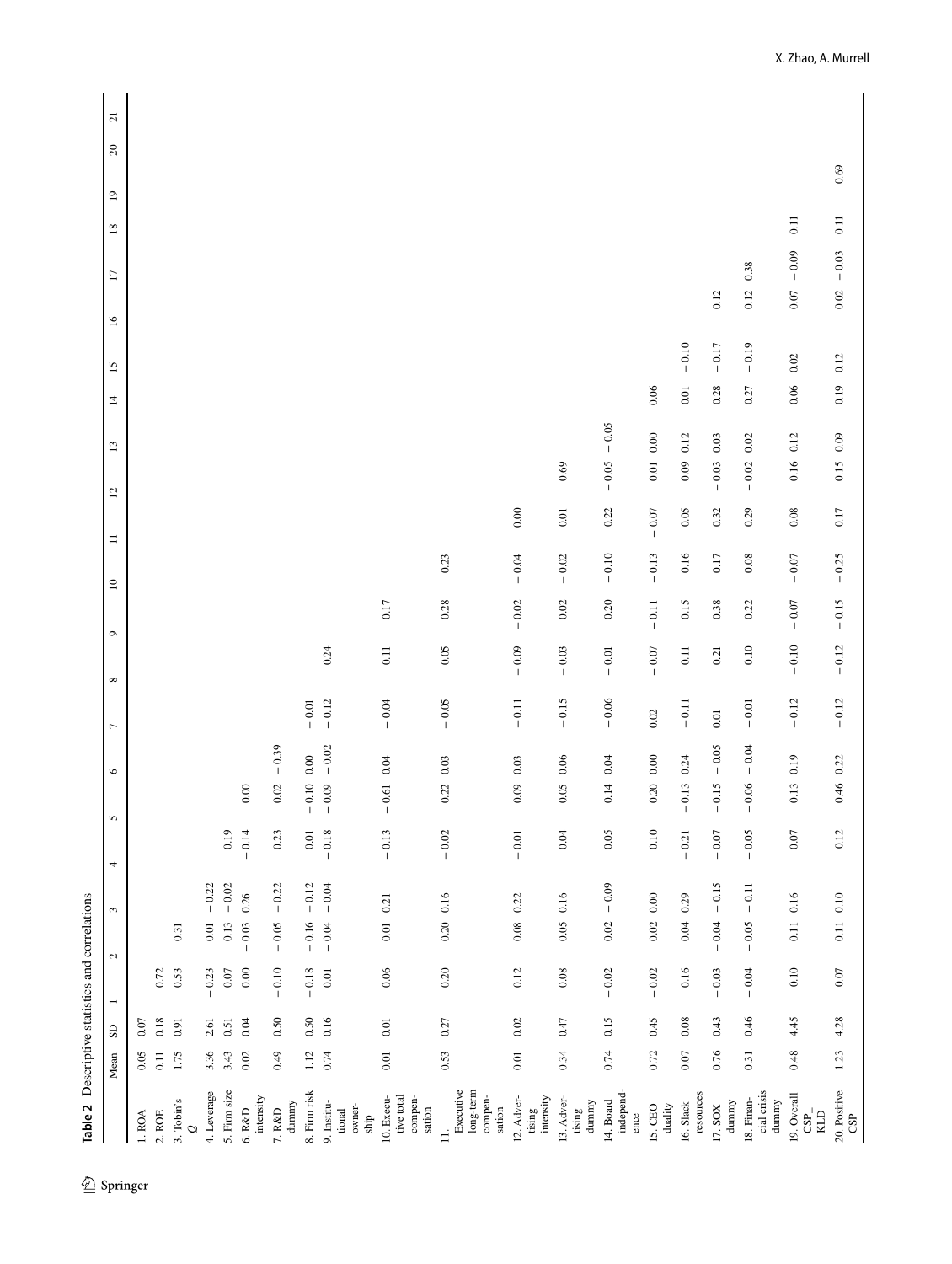<span id="page-7-0"></span>

|                                                          | Mean     | $\mathsf{S}\mathsf{D}$ | $\overline{\phantom{0}}$ | $\epsilon$<br>$\mathcal{L}$ | 4       | $\mathsf{S}$ | $\circ$             | $\overline{ }$ | $\circ$<br>$\infty$ |          | $\equiv$<br>$\overline{10}$ | 12       | 13                   | 4        | 15        | $\overline{17}$<br>$\overline{16}$ | $18\,$              | $\overline{1}$ | $20\,$ | $\overline{\mathbf{c}}$ |
|----------------------------------------------------------|----------|------------------------|--------------------------|-----------------------------|---------|--------------|---------------------|----------------|---------------------|----------|-----------------------------|----------|----------------------|----------|-----------|------------------------------------|---------------------|----------------|--------|-------------------------|
| 1. ROA                                                   | 0.05     | 0.07                   |                          |                             |         |              |                     |                |                     |          |                             |          |                      |          |           |                                    |                     |                |        |                         |
| $2.$ ROE                                                 | $0.11$   | 0.18                   | 0.72                     |                             |         |              |                     |                |                     |          |                             |          |                      |          |           |                                    |                     |                |        |                         |
| 3. Tobin's<br>$\circ$                                    | 1.75     | 0.91                   | 0.53                     | 0.31                        |         |              |                     |                |                     |          |                             |          |                      |          |           |                                    |                     |                |        |                         |
| 4. Leverage                                              | 3.36     | 2.61                   | $-0.23$                  | $0.01\,$                    | $-0.22$ |              |                     |                |                     |          |                             |          |                      |          |           |                                    |                     |                |        |                         |
| 5. Firm size                                             | 3.43     | 0.51                   | $0.07\,$                 | 0.13                        | $-0.02$ | 0.19         |                     |                |                     |          |                             |          |                      |          |           |                                    |                     |                |        |                         |
| intensity<br>6. R&D                                      | 0.02     | 0.04                   | 0.00                     | 0.26<br>$-0.03$             |         | $-0.14$      | 0.00                |                |                     |          |                             |          |                      |          |           |                                    |                     |                |        |                         |
| dummy<br>7. R&D                                          | 0.49     | 0.50                   | $-0.10$                  | $-0.05$                     | $-0.22$ | 0.23         | $-0.39$<br>$0.02\,$ |                |                     |          |                             |          |                      |          |           |                                    |                     |                |        |                         |
| 8. Firm risk                                             | 1.12     | 0.50                   | $-0.18$                  | $-0.16$                     | $-0.12$ | $0.01\,$     | 0.00<br>$-0.10$     | $-0.01$        |                     |          |                             |          |                      |          |           |                                    |                     |                |        |                         |
| 9. Institu-<br>owner-<br>tional<br>ship                  | 0.74     | 0.16                   | 0.01                     | $-0.04$                     | $-0.04$ | $-0.18$      | $-0.02$<br>$-0.09$  | $-0.12$        | 0.24                |          |                             |          |                      |          |           |                                    |                     |                |        |                         |
| compen-<br>10. Execu-<br>tive total<br>sation            | $0.01$   | $0.01\,$               | $0.06$                   | 0.21<br>$0.01\,$            |         | $-0.13$      | 0.04<br>$-0.61$     | $-0.04$        | 0.11                | 0.17     |                             |          |                      |          |           |                                    |                     |                |        |                         |
| Executive<br>long-term<br>compen-<br>sation<br>$\exists$ | 0.53     | 0.27                   | 0.20                     | 0.16<br>0.20                |         | $-0.02$      | 0.03<br>0.22        | $-0.05$        | 0.05                | 0.28     | 0.23                        |          |                      |          |           |                                    |                     |                |        |                         |
| intensity<br>12. Adver-<br>$t\sin g$                     | $0.01\,$ | $0.02\,$               | 0.12                     | 0.22<br>0.08                |         | $-0.01$      | 0.03<br>0.09        | $-0.11$        | $-0.09$             | $-0.02$  | $-0.04$                     | $0.00\,$ |                      |          |           |                                    |                     |                |        |                         |
| 13. Adver-<br>dummy<br>tising                            | 0.34     | 0.47                   | $0.08\,$                 | 0.16<br>0.05                |         | 0.04         | $0.06$<br>0.05      | $-0.15$        | $-0.03$             | $0.02\,$ | $-0.02$                     | $0.01\,$ | 0.69                 |          |           |                                    |                     |                |        |                         |
| independ-<br>14. Board<br>ence                           | 0.74     | 0.15                   | $-0.02$                  | 0.02                        | $-0.09$ | 0.05         | 0.04<br>0.14        | $-0.06$        | $-0.01$             | 0.20     | $-0.10$                     | 0.22     | $-0.05$<br>$-0.05$   |          |           |                                    |                     |                |        |                         |
| $duality$<br>15. CEO                                     | 0.72     | 0.45                   | $-0.02$                  | $0.00\,$<br>0.02            |         | 0.10         | 0.00<br>0.20        | $0.02\,$       | $-0.07$             | $-0.11$  | $-0.13$                     | $-0.07$  | $0.00\,$<br>$0.01\,$ | 0.06     |           |                                    |                     |                |        |                         |
| resources<br>16. Slack                                   | $0.07\,$ | 0.08                   | 0.16                     | 0.29<br>0.04                |         | $-0.21$      | 0.24<br>$-0.13$     | $-0.11$        | 0.11                | 0.15     | $0.16$                      | 0.05     | 0.12<br>0.09         | $0.01\,$ | $-0.10$   |                                    |                     |                |        |                         |
| $d$ ummy<br>17. SOX                                      | 0.76     | 0.43                   | $-0.03$                  | $-0.04$                     | $-0.15$ | $-0.07$      | $-0.05$<br>$-0.15$  | $0.01\,$       | 0.21                | 0.38     | $0.17$                      | 0.32     | $0.03\,$<br>$-0.03$  | 0.28     | $-\,0.17$ | 0.12                               |                     |                |        |                         |
| cial crisis<br>18. Finan-<br>dunnny                      | 0.31     | 0.46                   | $-0.04$                  | $-0.05$                     | $-0.11$ | $-0.05$      | $-0.04$<br>$-0.06$  | $-0.01$        | 0.10                | 0.22     | $0.08\,$                    | 0.29     | $0.02\,$<br>$-0.02$  | 0.27     | $-0.19$   | 0.38<br>0.12                       |                     |                |        |                         |
| 19. Overall<br>$\mathop{\mathrm{GB}}\nolimits$           | 0.48     | 4.45                   | 0.10                     | 0.16<br>0.11                |         | $0.07\,$     | 0.13 0.19           | $-0.12$        | $-0.10$             | $-0.07$  | $-0.07$                     | $0.08\,$ | 0.12<br>0.16         | $0.06\,$ | $0.02\,$  | $0.07\,$                           | $0.11$<br>$-0.09$   |                |        |                         |
| 20. Positive<br>CSP                                      | 1.23     | 4.28                   | $0.07$                   | 0.11 0.10                   |         | 0.12         | $0.46$ 0.22         | $-0.12$        | $-0.12$             | $-0.15$  | $-0.25$                     | 0.17     | 0.09<br>0.15         | 0.19     | 0.12      | $0.02\,$                           | $0.11\,$<br>$-0.03$ |                | 0.69   |                         |
|                                                          |          |                        |                          |                             |         |              |                     |                |                     |          |                             |          |                      |          |           |                                    |                     |                |        |                         |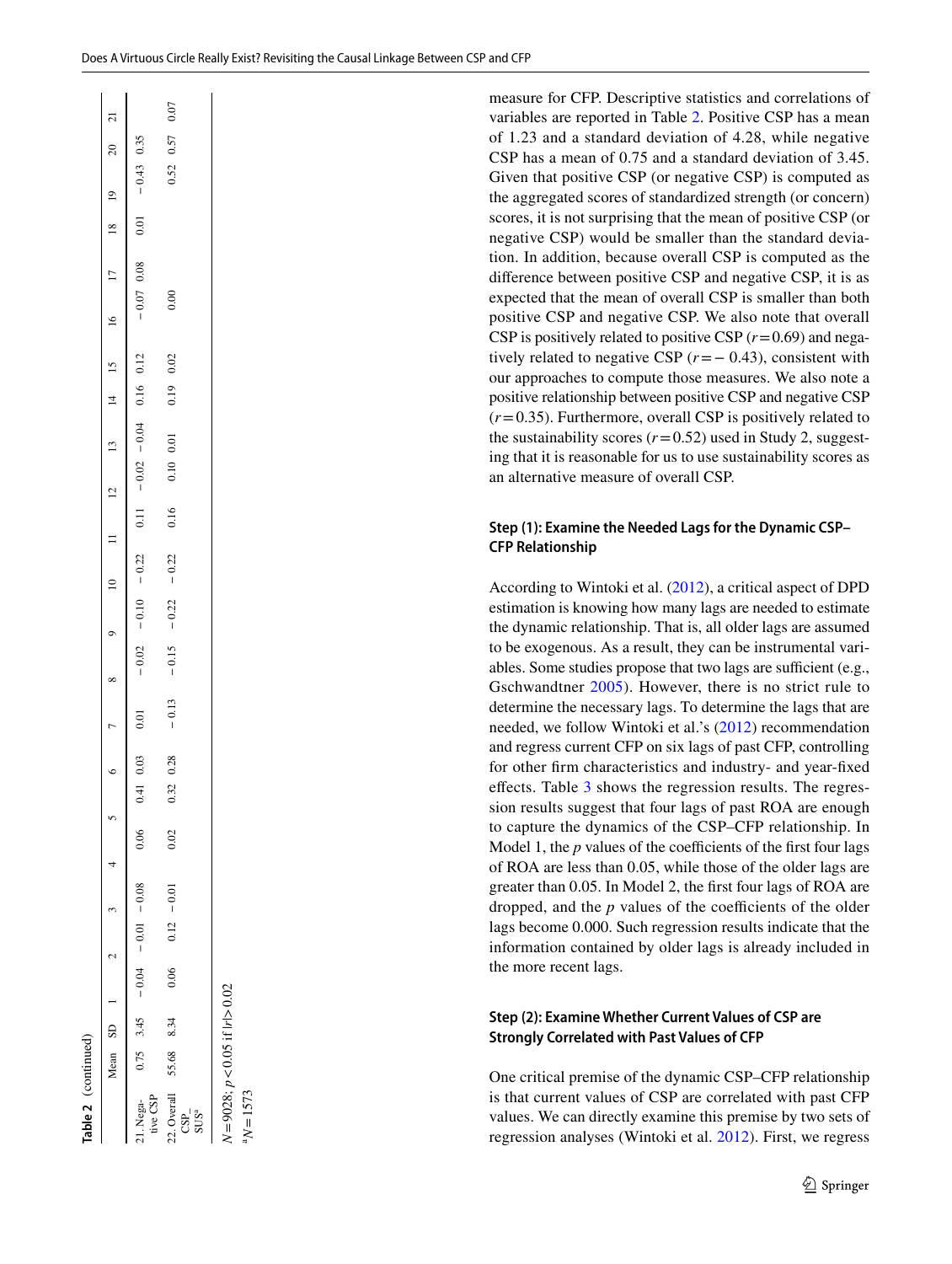Table 2 (continued) **Table 2** (continued)

*N*

*p*

 $N = 1573$ 

<0.05 if |*r*|>0.02

| $\overline{c}$  |                         | 0.07                                                                                                           |
|-----------------|-------------------------|----------------------------------------------------------------------------------------------------------------|
| $\approx$       |                         | $0.52$ $0.57$                                                                                                  |
|                 | $-0.43$ 0.35            |                                                                                                                |
| $^{19}$         | 0.01                    |                                                                                                                |
| $\frac{18}{2}$  |                         |                                                                                                                |
| $\overline{17}$ | $-0.07$ 0.08            |                                                                                                                |
|                 |                         | 0.00                                                                                                           |
|                 | 0.12                    | 0.02                                                                                                           |
| $14$ 15         | 0.16                    | 0.19                                                                                                           |
|                 |                         |                                                                                                                |
|                 |                         | 0.10 0.01                                                                                                      |
|                 | $0.11 - 0.02$           |                                                                                                                |
|                 |                         | 0.16                                                                                                           |
|                 | $-0.22$                 | $-0.22$                                                                                                        |
|                 | $-0.10$                 | $-0.22$                                                                                                        |
|                 |                         |                                                                                                                |
|                 | $-0.02$                 | $-0.15$                                                                                                        |
|                 | 0.01                    | $-0.13$                                                                                                        |
|                 |                         | 0.28                                                                                                           |
|                 | $0.41$ 0.03             | 0.32                                                                                                           |
|                 | 0.06                    | 0.02                                                                                                           |
|                 |                         |                                                                                                                |
|                 |                         | $-0.01$                                                                                                        |
|                 | $-0.04$ $-0.01$ $-0.08$ | 0.12                                                                                                           |
|                 |                         | 0.06                                                                                                           |
|                 |                         |                                                                                                                |
|                 | 3.45                    | 8.34                                                                                                           |
| Mean SD 1       | 0.75                    | 55.68                                                                                                          |
|                 | 21. Nega-<br>tive CSP   | $\begin{array}{c} 22.\,\mathrm{Overall} \\ \mathrm{CSP}_{\mathrm{n}} \\ \mathrm{SUS}^{\mathrm{a}} \end{array}$ |

measure for CFP. Descriptive statistics and correlations of variables are reported in Table [2](#page-7-0). Positive CSP has a mean of 1.23 and a standard deviation of 4.28, while negative CSP has a mean of 0.75 and a standard deviation of 3.45. Given that positive CSP (or negative CSP) is computed as the aggregated scores of standardized strength (or concern) scores, it is not surprising that the mean of positive CSP (or negative CSP) would be smaller than the standard deviation. In addition, because overall CSP is computed as the diference between positive CSP and negative CSP, it is as expected that the mean of overall CSP is smaller than both positive CSP and negative CSP. We also note that overall CSP is positively related to positive CSP  $(r=0.69)$  and negatively related to negative CSP (*r*=− 0.43), consistent with our approaches to compute those measures. We also note a positive relationship between positive CSP and negative CSP  $(r=0.35)$ . Furthermore, overall CSP is positively related to the sustainability scores  $(r=0.52)$  used in Study 2, suggesting that it is reasonable for us to use sustainability scores as an alternative measure of overall CSP.

## **Step (1): Examine the Needed Lags for the Dynamic CSP– CFP Relationship**

According to Wintoki et al. ([2012\)](#page-19-0), a critical aspect of DPD estimation is knowing how many lags are needed to estimate the dynamic relationship. That is, all older lags are assumed to be exogenous. As a result, they can be instrumental variables. Some studies propose that two lags are sufficient (e.g., Gschwandtner [2005](#page-18-37)). However, there is no strict rule to determine the necessary lags. To determine the lags that are needed, we follow Wintoki et al.'s [\(2012](#page-19-0)) recommendation and regress current CFP on six lags of past CFP, controlling for other frm characteristics and industry- and year-fxed efects. Table [3](#page-9-0) shows the regression results. The regression results suggest that four lags of past ROA are enough to capture the dynamics of the CSP–CFP relationship. In Model 1, the  $p$  values of the coefficients of the first four lags of ROA are less than 0.05, while those of the older lags are greater than 0.05. In Model 2, the frst four lags of ROA are dropped, and the  $p$  values of the coefficients of the older lags become 0.000. Such regression results indicate that the information contained by older lags is already included in the more recent lags.

## **Step (2): Examine Whether Current Values of CSP are Strongly Correlated with Past Values of CFP**

One critical premise of the dynamic CSP–CFP relationship is that current values of CSP are correlated with past CFP<br>  $\frac{1}{2}$ <br>  $\approx$   $\frac{1}{2}$ <br>  $\approx$   $\frac{1}{2}$ <br>  $\approx$   $\frac{1}{2}$ <br>  $\approx$   $\frac{1}{2}$ <br>  $\approx$   $\frac{1}{2}$ <br>  $\approx$   $\frac{1}{2}$ <br>  $\approx$   $\frac{1}{2}$ <br>  $\approx$   $\frac{1}{2}$ <br>  $\approx$   $\frac{1}{2}$ <br>  $\approx$  values. We can directly examine this premise by two sets of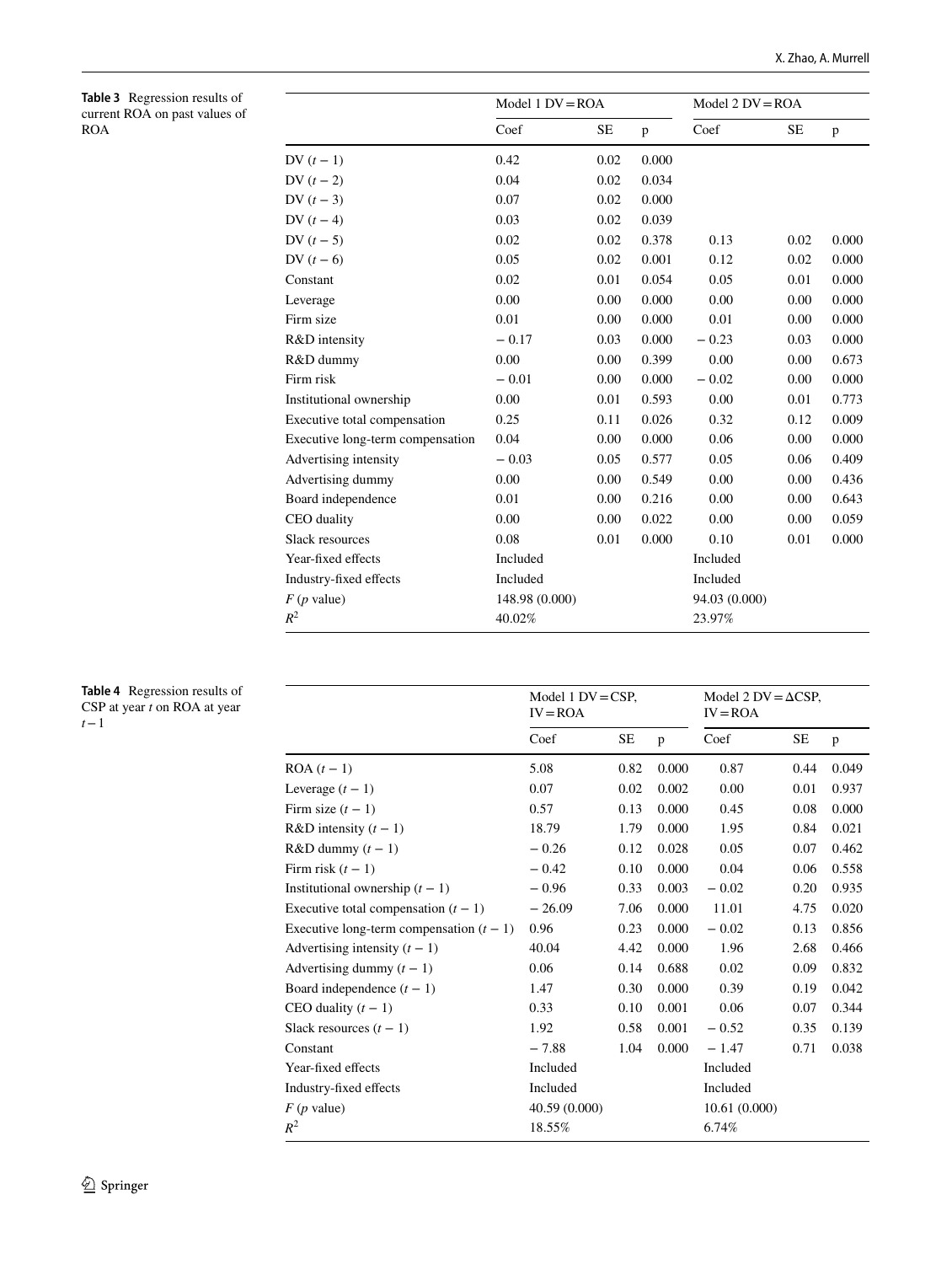<span id="page-9-0"></span>

|            | <b>Table 3</b> Regression results of |
|------------|--------------------------------------|
|            | current ROA on past values of        |
| <b>ROA</b> |                                      |

|                                  | Model $1 DV = ROA$ |           |       | Model $2$ $DV = ROA$ |           |       |
|----------------------------------|--------------------|-----------|-------|----------------------|-----------|-------|
|                                  | Coef               | <b>SE</b> | p     | Coef                 | <b>SE</b> | p     |
| DV $(t-1)$                       | 0.42               | 0.02      | 0.000 |                      |           |       |
| DV $(t-2)$                       | 0.04               | 0.02      | 0.034 |                      |           |       |
| DV $(t-3)$                       | 0.07               | 0.02      | 0.000 |                      |           |       |
| DV $(t-4)$                       | 0.03               | 0.02      | 0.039 |                      |           |       |
| DV $(t-5)$                       | 0.02               | 0.02      | 0.378 | 0.13                 | 0.02      | 0.000 |
| DV $(t - 6)$                     | 0.05               | 0.02      | 0.001 | 0.12                 | 0.02      | 0.000 |
| Constant                         | 0.02               | 0.01      | 0.054 | 0.05                 | 0.01      | 0.000 |
| Leverage                         | 0.00               | 0.00      | 0.000 | 0.00                 | 0.00      | 0.000 |
| Firm size                        | 0.01               | 0.00      | 0.000 | 0.01                 | 0.00      | 0.000 |
| R&D intensity                    | $-0.17$            | 0.03      | 0.000 | $-0.23$              | 0.03      | 0.000 |
| R&D dummy                        | 0.00               | 0.00      | 0.399 | 0.00                 | 0.00      | 0.673 |
| Firm risk                        | $-0.01$            | 0.00      | 0.000 | $-0.02$              | 0.00      | 0.000 |
| Institutional ownership          | 0.00               | 0.01      | 0.593 | 0.00                 | 0.01      | 0.773 |
| Executive total compensation     | 0.25               | 0.11      | 0.026 | 0.32                 | 0.12      | 0.009 |
| Executive long-term compensation | 0.04               | 0.00      | 0.000 | 0.06                 | 0.00      | 0.000 |
| Advertising intensity            | $-0.03$            | 0.05      | 0.577 | 0.05                 | 0.06      | 0.409 |
| Advertising dummy                | 0.00               | 0.00      | 0.549 | 0.00                 | 0.00      | 0.436 |
| Board independence               | 0.01               | 0.00      | 0.216 | 0.00                 | 0.00      | 0.643 |
| <b>CEO</b> duality               | 0.00               | 0.00      | 0.022 | 0.00                 | 0.00      | 0.059 |
| Slack resources                  | 0.08               | 0.01      | 0.000 | 0.10                 | 0.01      | 0.000 |
| Year-fixed effects               | Included           |           |       | Included             |           |       |
| Industry-fixed effects           | Included           |           |       | Included             |           |       |
| $F(p$ value)                     | 148.98 (0.000)     |           |       | 94.03 (0.000)        |           |       |
| $R^2$                            | 40.02%             |           |       | 23.97%               |           |       |

#### <span id="page-9-1"></span>**Table 4** Regression results of CSP at year *t* on ROA at year *t*−1

|                                            | Model 1 $DV = CSP$ ,<br>$IV = ROA$ |           |       | Model 2 DV = $\triangle$ CSP,<br>$IV = ROA$ |      |       |
|--------------------------------------------|------------------------------------|-----------|-------|---------------------------------------------|------|-------|
|                                            | Coef                               | <b>SE</b> | p     | Coef                                        | SE   | p     |
| $ROA(t-1)$                                 | 5.08                               | 0.82      | 0.000 | 0.87                                        | 0.44 | 0.049 |
| Leverage $(t-1)$                           | 0.07                               | 0.02      | 0.002 | 0.00                                        | 0.01 | 0.937 |
| Firm size $(t-1)$                          | 0.57                               | 0.13      | 0.000 | 0.45                                        | 0.08 | 0.000 |
| R&D intensity $(t - 1)$                    | 18.79                              | 1.79      | 0.000 | 1.95                                        | 0.84 | 0.021 |
| $R&D$ dummy $(t-1)$                        | $-0.26$                            | 0.12      | 0.028 | 0.05                                        | 0.07 | 0.462 |
| Firm risk $(t-1)$                          | $-0.42$                            | 0.10      | 0.000 | 0.04                                        | 0.06 | 0.558 |
| Institutional ownership $(t - 1)$          | $-0.96$                            | 0.33      | 0.003 | $-0.02$                                     | 0.20 | 0.935 |
| Executive total compensation $(t - 1)$     | $-26.09$                           | 7.06      | 0.000 | 11.01                                       | 4.75 | 0.020 |
| Executive long-term compensation $(t - 1)$ | 0.96                               | 0.23      | 0.000 | $-0.02$                                     | 0.13 | 0.856 |
| Advertising intensity $(t - 1)$            | 40.04                              | 4.42      | 0.000 | 1.96                                        | 2.68 | 0.466 |
| Advertising dummy $(t - 1)$                | 0.06                               | 0.14      | 0.688 | 0.02                                        | 0.09 | 0.832 |
| Board independence $(t-1)$                 | 1.47                               | 0.30      | 0.000 | 0.39                                        | 0.19 | 0.042 |
| CEO duality $(t - 1)$                      | 0.33                               | 0.10      | 0.001 | 0.06                                        | 0.07 | 0.344 |
| Slack resources $(t-1)$                    | 1.92                               | 0.58      | 0.001 | $-0.52$                                     | 0.35 | 0.139 |
| Constant                                   | $-7.88$                            | 1.04      | 0.000 | $-1.47$                                     | 0.71 | 0.038 |
| Year-fixed effects                         | Included                           |           |       | Included                                    |      |       |
| Industry-fixed effects                     | Included                           |           |       | Included                                    |      |       |
| $F(p$ value)                               | 40.59 (0.000)                      |           |       | 10.61(0.000)                                |      |       |
| $R^2$                                      | 18.55%                             |           |       | 6.74%                                       |      |       |
|                                            |                                    |           |       |                                             |      |       |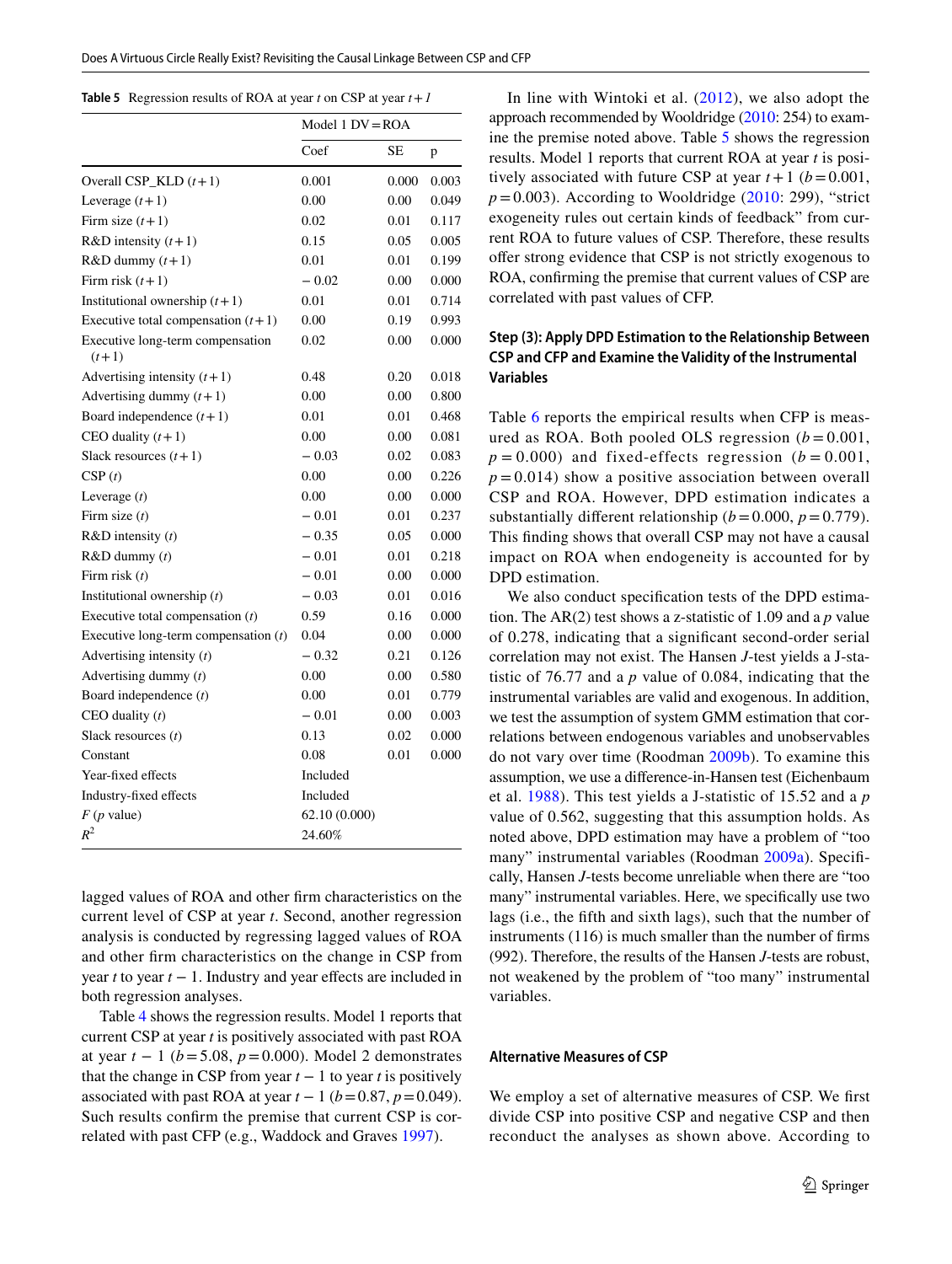<span id="page-10-0"></span>

|  | <b>Table 5</b> Regression results of ROA at year t on CSP at year $t + 1$ |  |  |  |  |  |
|--|---------------------------------------------------------------------------|--|--|--|--|--|
|--|---------------------------------------------------------------------------|--|--|--|--|--|

|                                             | Model $1 DV = ROA$ |       |       |
|---------------------------------------------|--------------------|-------|-------|
|                                             | Coef               | SE    | p     |
| Overall $CSP$ <sub>KLD</sub> $(t+1)$        | 0.001              | 0.000 | 0.003 |
| Leverage $(t+1)$                            | 0.00               | 0.00  | 0.049 |
| Firm size $(t+1)$                           | 0.02               | 0.01  | 0.117 |
| R&D intensity $(t+1)$                       | 0.15               | 0.05  | 0.005 |
| $R&D$ dummy $(t+1)$                         | 0.01               | 0.01  | 0.199 |
| Firm risk $(t+1)$                           | $-0.02$            | 0.00  | 0.000 |
| Institutional ownership $(t+1)$             | 0.01               | 0.01  | 0.714 |
| Executive total compensation $(t+1)$        | 0.00               | 0.19  | 0.993 |
| Executive long-term compensation<br>$(t+1)$ | 0.02               | 0.00  | 0.000 |
| Advertising intensity $(t+1)$               | 0.48               | 0.20  | 0.018 |
| Advertising dummy $(t+1)$                   | 0.00               | 0.00  | 0.800 |
| Board independence $(t+1)$                  | 0.01               | 0.01  | 0.468 |
| CEO duality $(t+1)$                         | 0.00               | 0.00  | 0.081 |
| Slack resources $(t+1)$                     | $-0.03$            | 0.02  | 0.083 |
| CSP(t)                                      | 0.00               | 0.00  | 0.226 |
| Leverage $(t)$                              | 0.00               | 0.00  | 0.000 |
| Firm size $(t)$                             | $-0.01$            | 0.01  | 0.237 |
| $R&D$ intensity $(t)$                       | $-0.35$            | 0.05  | 0.000 |
| $R&D$ dummy $(t)$                           | $-0.01$            | 0.01  | 0.218 |
| Firm risk $(t)$                             | $-0.01$            | 0.00  | 0.000 |
| Institutional ownership $(t)$               | $-0.03$            | 0.01  | 0.016 |
| Executive total compensation $(t)$          | 0.59               | 0.16  | 0.000 |
| Executive long-term compensation $(t)$      | 0.04               | 0.00  | 0.000 |
| Advertising intensity $(t)$                 | $-0.32$            | 0.21  | 0.126 |
| Advertising dummy $(t)$                     | 0.00               | 0.00  | 0.580 |
| Board independence $(t)$                    | 0.00               | 0.01  | 0.779 |
| CEO duality $(t)$                           | $-0.01$            | 0.00  | 0.003 |
| Slack resources $(t)$                       | 0.13               | 0.02  | 0.000 |
| Constant                                    | 0.08               | 0.01  | 0.000 |
| Year-fixed effects                          | Included           |       |       |
| Industry-fixed effects                      | Included           |       |       |
| $F(p$ value)                                | 62.10(0.000)       |       |       |
| $R^2$                                       | 24.60%             |       |       |

lagged values of ROA and other frm characteristics on the current level of CSP at year *t*. Second, another regression analysis is conducted by regressing lagged values of ROA and other frm characteristics on the change in CSP from year *t* to year *t* − 1. Industry and year efects are included in both regression analyses.

Table [4](#page-9-1) shows the regression results. Model 1 reports that current CSP at year *t* is positively associated with past ROA at year *t* − 1 (*b*=5.08, *p*=0.000). Model 2 demonstrates that the change in CSP from year  $t - 1$  to year  $t$  is positively associated with past ROA at year  $t - 1$  ( $b = 0.87$ ,  $p = 0.049$ ). Such results confrm the premise that current CSP is correlated with past CFP (e.g., Waddock and Graves [1997](#page-18-2)).

In line with Wintoki et al. ([2012\)](#page-19-0), we also adopt the approach recommended by Wooldridge [\(2010](#page-19-6): 254) to examine the premise noted above. Table [5](#page-10-0) shows the regression results. Model 1 reports that current ROA at year *t* is positively associated with future CSP at year  $t+1$  ( $b=0.001$ ,  $p=0.003$ ). According to Wooldridge [\(2010:](#page-19-6) 299), "strict exogeneity rules out certain kinds of feedback" from current ROA to future values of CSP. Therefore, these results ofer strong evidence that CSP is not strictly exogenous to ROA, confrming the premise that current values of CSP are correlated with past values of CFP.

## **Step (3): Apply DPD Estimation to the Relationship Between CSP and CFP and Examine the Validity of the Instrumental Variables**

Table [6](#page-11-0) reports the empirical results when CFP is measured as ROA. Both pooled OLS regression  $(b = 0.001,$  $p = 0.000$ ) and fixed-effects regression ( $b = 0.001$ ,  $p = 0.014$ ) show a positive association between overall CSP and ROA. However, DPD estimation indicates a substantially different relationship  $(b=0.000, p=0.779)$ . This fnding shows that overall CSP may not have a causal impact on ROA when endogeneity is accounted for by DPD estimation.

We also conduct specifcation tests of the DPD estimation. The AR(2) test shows a z-statistic of 1.09 and a *p* value of 0.278, indicating that a signifcant second-order serial correlation may not exist. The Hansen *J*-test yields a J-statistic of 76.77 and a *p* value of 0.084, indicating that the instrumental variables are valid and exogenous. In addition, we test the assumption of system GMM estimation that correlations between endogenous variables and unobservables do not vary over time (Roodman [2009b](#page-18-11)). To examine this assumption, we use a diference-in-Hansen test (Eichenbaum et al. [1988](#page-17-26)). This test yields a J-statistic of 15.52 and a *p* value of 0.562, suggesting that this assumption holds. As noted above, DPD estimation may have a problem of "too many" instrumental variables (Roodman [2009a](#page-18-10)). Specifcally, Hansen *J*-tests become unreliable when there are "too many" instrumental variables. Here, we specifcally use two lags (i.e., the ffth and sixth lags), such that the number of instruments (116) is much smaller than the number of frms (992). Therefore, the results of the Hansen *J*-tests are robust, not weakened by the problem of "too many" instrumental variables.

#### **Alternative Measures of CSP**

We employ a set of alternative measures of CSP. We frst divide CSP into positive CSP and negative CSP and then reconduct the analyses as shown above. According to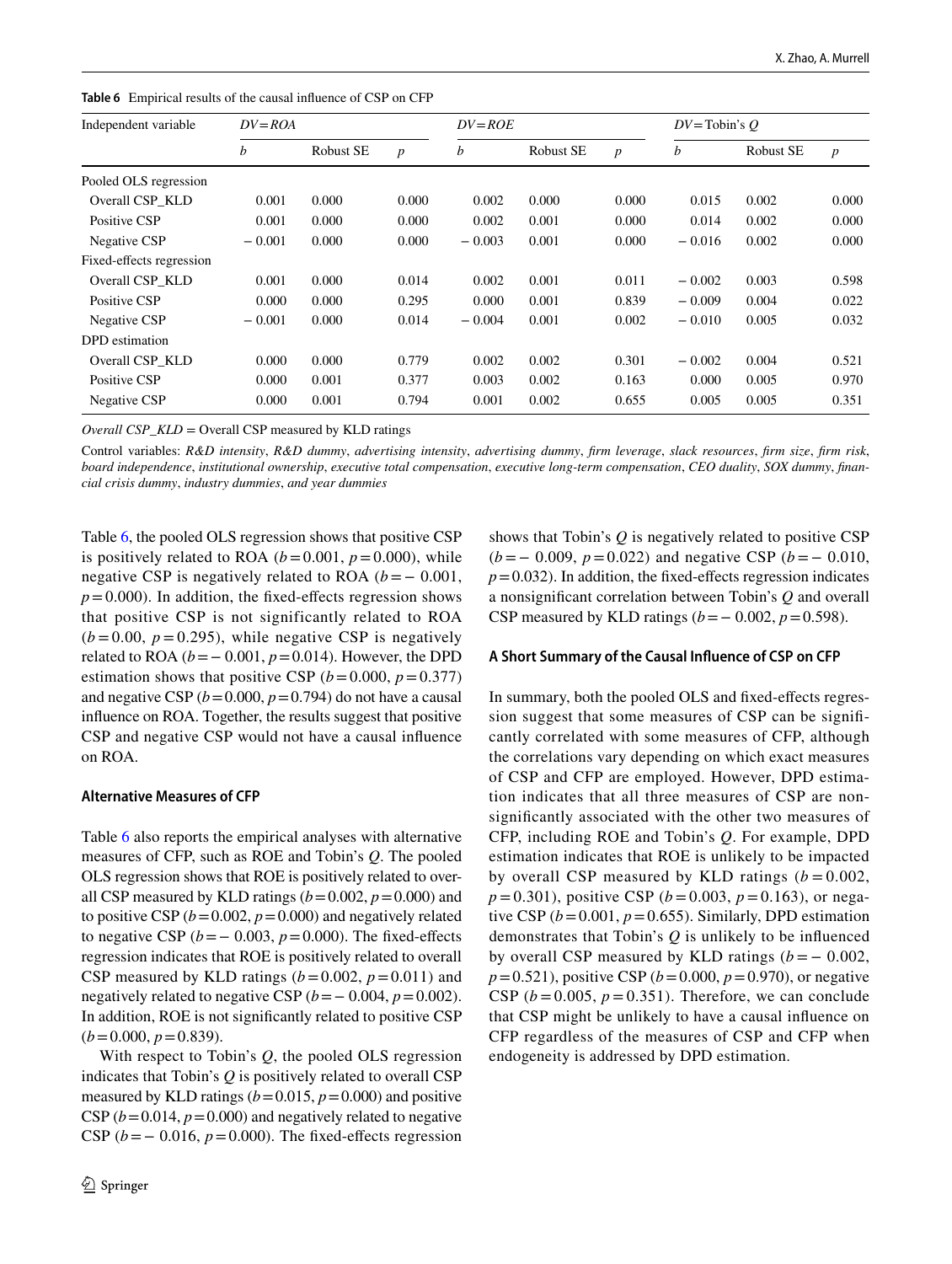<span id="page-11-0"></span>**Table 6** Empirical results of the causal infuence of CSP on CFP

| Independent variable     | $DV = ROA$ |           |                  | $DV = ROE$ |           |                  | $DV = \text{Tobin's } O$ |           |                  |
|--------------------------|------------|-----------|------------------|------------|-----------|------------------|--------------------------|-----------|------------------|
|                          | b          | Robust SE | $\boldsymbol{p}$ | b          | Robust SE | $\boldsymbol{p}$ | b                        | Robust SE | $\boldsymbol{p}$ |
| Pooled OLS regression    |            |           |                  |            |           |                  |                          |           |                  |
| Overall CSP KLD          | 0.001      | 0.000     | 0.000            | 0.002      | 0.000     | 0.000            | 0.015                    | 0.002     | 0.000            |
| Positive CSP             | 0.001      | 0.000     | 0.000            | 0.002      | 0.001     | 0.000            | 0.014                    | 0.002     | 0.000            |
| Negative CSP             | $-0.001$   | 0.000     | 0.000            | $-0.003$   | 0.001     | 0.000            | $-0.016$                 | 0.002     | 0.000            |
| Fixed-effects regression |            |           |                  |            |           |                  |                          |           |                  |
| Overall CSP KLD          | 0.001      | 0.000     | 0.014            | 0.002      | 0.001     | 0.011            | $-0.002$                 | 0.003     | 0.598            |
| Positive CSP             | 0.000      | 0.000     | 0.295            | 0.000      | 0.001     | 0.839            | $-0.009$                 | 0.004     | 0.022            |
| Negative CSP             | $-0.001$   | 0.000     | 0.014            | $-0.004$   | 0.001     | 0.002            | $-0.010$                 | 0.005     | 0.032            |
| DPD estimation           |            |           |                  |            |           |                  |                          |           |                  |
| Overall CSP KLD          | 0.000      | 0.000     | 0.779            | 0.002      | 0.002     | 0.301            | $-0.002$                 | 0.004     | 0.521            |
| Positive CSP             | 0.000      | 0.001     | 0.377            | 0.003      | 0.002     | 0.163            | 0.000                    | 0.005     | 0.970            |
| Negative CSP             | 0.000      | 0.001     | 0.794            | 0.001      | 0.002     | 0.655            | 0.005                    | 0.005     | 0.351            |

*Overall CSP\_KLD* = Overall CSP measured by KLD ratings

Control variables: *R&D intensity*, *R&D dummy*, *advertising intensity*, *advertising dummy*, *frm leverage*, *slack resources*, *frm size*, *frm risk*, *board independence*, *institutional ownership*, *executive total compensation*, *executive long-term compensation*, *CEO duality*, *SOX dummy*, *fnancial crisis dummy*, *industry dummies*, *and year dummies*

Table [6,](#page-11-0) the pooled OLS regression shows that positive CSP is positively related to ROA ( $b = 0.001$ ,  $p = 0.000$ ), while negative CSP is negatively related to ROA  $(b=-0.001,$  $p = 0.000$ ). In addition, the fixed-effects regression shows that positive CSP is not significantly related to ROA  $(b=0.00, p=0.295)$ , while negative CSP is negatively related to ROA ( $b = 0.001$ ,  $p = 0.014$ ). However, the DPD estimation shows that positive CSP  $(b=0.000, p=0.377)$ and negative CSP  $(b=0.000, p=0.794)$  do not have a causal infuence on ROA. Together, the results suggest that positive CSP and negative CSP would not have a causal infuence on ROA.

### **Alternative Measures of CFP**

Table [6](#page-11-0) also reports the empirical analyses with alternative measures of CFP, such as ROE and Tobin's *Q*. The pooled OLS regression shows that ROE is positively related to overall CSP measured by KLD ratings  $(b=0.002, p=0.000)$  and to positive CSP  $(b=0.002, p=0.000)$  and negatively related to negative CSP  $(b=-0.003, p=0.000)$ . The fixed-effects regression indicates that ROE is positively related to overall CSP measured by KLD ratings  $(b=0.002, p=0.011)$  and negatively related to negative CSP  $(b=-0.004, p=0.002)$ . In addition, ROE is not signifcantly related to positive CSP  $(b=0.000, p=0.839).$ 

With respect to Tobin's *Q*, the pooled OLS regression indicates that Tobin's *Q* is positively related to overall CSP measured by KLD ratings  $(b=0.015, p=0.000)$  and positive CSP  $(b=0.014, p=0.000)$  and negatively related to negative CSP  $(b=-0.016, p=0.000)$ . The fixed-effects regression shows that Tobin's *Q* is negatively related to positive CSP (*b*=− 0.009, *p*=0.022) and negative CSP (*b* =− 0.010,  $p=0.032$ ). In addition, the fixed-effects regression indicates a nonsignifcant correlation between Tobin's *Q* and overall CSP measured by KLD ratings  $(b=-0.002, p=0.598)$ .

### **A Short Summary of the Causal Infuence of CSP on CFP**

In summary, both the pooled OLS and fxed-efects regression suggest that some measures of CSP can be signifcantly correlated with some measures of CFP, although the correlations vary depending on which exact measures of CSP and CFP are employed. However, DPD estimation indicates that all three measures of CSP are nonsignifcantly associated with the other two measures of CFP, including ROE and Tobin's *Q*. For example, DPD estimation indicates that ROE is unlikely to be impacted by overall CSP measured by KLD ratings  $(b = 0.002,$  $p = 0.301$ , positive CSP ( $b = 0.003$ ,  $p = 0.163$ ), or negative CSP  $(b=0.001, p=0.655)$ . Similarly, DPD estimation demonstrates that Tobin's *Q* is unlikely to be infuenced by overall CSP measured by KLD ratings  $(b = -0.002,$ *p*=0.521), positive CSP (*b*=0.000, *p*=0.970), or negative CSP  $(b=0.005, p=0.351)$ . Therefore, we can conclude that CSP might be unlikely to have a causal infuence on CFP regardless of the measures of CSP and CFP when endogeneity is addressed by DPD estimation.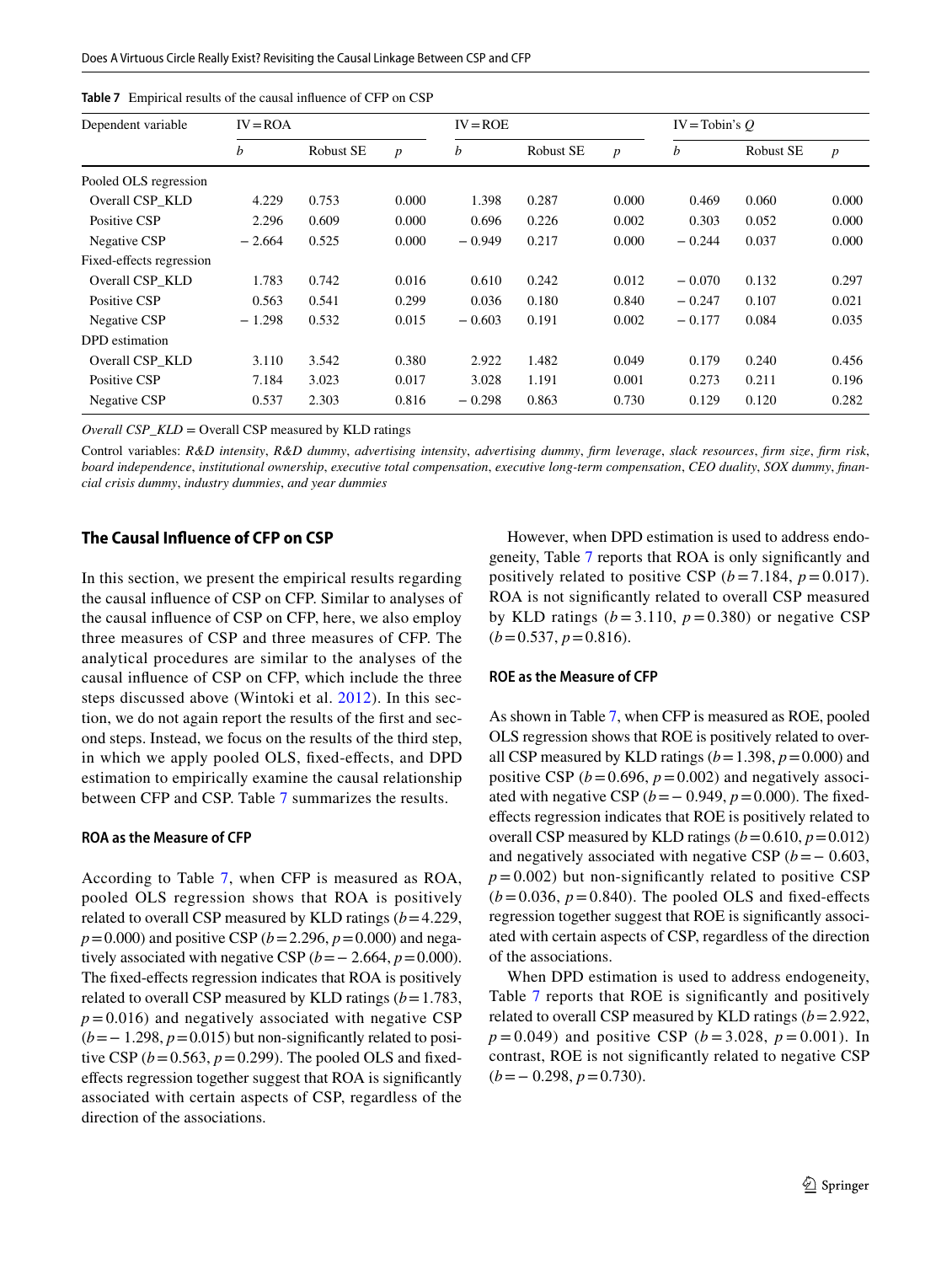<span id="page-12-0"></span>

|  | <b>Table 7</b> Empirical results of the causal influence of CFP on CSP |  |  |  |  |  |  |
|--|------------------------------------------------------------------------|--|--|--|--|--|--|
|--|------------------------------------------------------------------------|--|--|--|--|--|--|

| Dependent variable       | $IV = ROA$ |                  |                  | $IV = ROE$ |           |                  | $IV = Tobin's O$ |           |                  |
|--------------------------|------------|------------------|------------------|------------|-----------|------------------|------------------|-----------|------------------|
|                          | b          | <b>Robust SE</b> | $\boldsymbol{p}$ | b          | Robust SE | $\boldsymbol{p}$ | b                | Robust SE | $\boldsymbol{p}$ |
| Pooled OLS regression    |            |                  |                  |            |           |                  |                  |           |                  |
| Overall CSP_KLD          | 4.229      | 0.753            | 0.000            | 1.398      | 0.287     | 0.000            | 0.469            | 0.060     | 0.000            |
| Positive CSP             | 2.296      | 0.609            | 0.000            | 0.696      | 0.226     | 0.002            | 0.303            | 0.052     | 0.000            |
| Negative CSP             | $-2.664$   | 0.525            | 0.000            | $-0.949$   | 0.217     | 0.000            | $-0.244$         | 0.037     | 0.000            |
| Fixed-effects regression |            |                  |                  |            |           |                  |                  |           |                  |
| Overall CSP KLD          | 1.783      | 0.742            | 0.016            | 0.610      | 0.242     | 0.012            | $-0.070$         | 0.132     | 0.297            |
| Positive CSP             | 0.563      | 0.541            | 0.299            | 0.036      | 0.180     | 0.840            | $-0.247$         | 0.107     | 0.021            |
| Negative CSP             | $-1.298$   | 0.532            | 0.015            | $-0.603$   | 0.191     | 0.002            | $-0.177$         | 0.084     | 0.035            |
| DPD estimation           |            |                  |                  |            |           |                  |                  |           |                  |
| Overall CSP KLD          | 3.110      | 3.542            | 0.380            | 2.922      | 1.482     | 0.049            | 0.179            | 0.240     | 0.456            |
| Positive CSP             | 7.184      | 3.023            | 0.017            | 3.028      | 1.191     | 0.001            | 0.273            | 0.211     | 0.196            |
| Negative CSP             | 0.537      | 2.303            | 0.816            | $-0.298$   | 0.863     | 0.730            | 0.129            | 0.120     | 0.282            |

*Overall CSP\_KLD* = Overall CSP measured by KLD ratings

Control variables: *R&D intensity*, *R&D dummy*, *advertising intensity*, *advertising dummy*, *frm leverage*, *slack resources*, *frm size*, *frm risk*, *board independence*, *institutional ownership*, *executive total compensation*, *executive long-term compensation*, *CEO duality*, *SOX dummy*, *fnancial crisis dummy*, *industry dummies*, *and year dummies*

## **The Causal Infuence of CFP on CSP**

In this section, we present the empirical results regarding the causal infuence of CSP on CFP. Similar to analyses of the causal infuence of CSP on CFP, here, we also employ three measures of CSP and three measures of CFP. The analytical procedures are similar to the analyses of the causal infuence of CSP on CFP, which include the three steps discussed above (Wintoki et al. [2012\)](#page-19-0). In this section, we do not again report the results of the frst and second steps. Instead, we focus on the results of the third step, in which we apply pooled OLS, fxed-efects, and DPD estimation to empirically examine the causal relationship between CFP and CSP. Table [7](#page-12-0) summarizes the results.

#### **ROA as the Measure of CFP**

According to Table [7](#page-12-0), when CFP is measured as ROA, pooled OLS regression shows that ROA is positively related to overall CSP measured by KLD ratings (*b*=4.229, *p*=0.000) and positive CSP (*b*=2.296, *p*=0.000) and negatively associated with negative CSP ( $b = -2.664$ ,  $p = 0.000$ ). The fixed-effects regression indicates that ROA is positively related to overall CSP measured by KLD ratings (*b*=1.783,  $p = 0.016$ ) and negatively associated with negative CSP (*b*=− 1.298, *p*=0.015) but non-signifcantly related to positive CSP  $(b=0.563, p=0.299)$ . The pooled OLS and fixedefects regression together suggest that ROA is signifcantly associated with certain aspects of CSP, regardless of the direction of the associations.

However, when DPD estimation is used to address endogeneity, Table [7](#page-12-0) reports that ROA is only signifcantly and positively related to positive CSP  $(b=7.184, p=0.017)$ . ROA is not signifcantly related to overall CSP measured by KLD ratings  $(b=3.110, p=0.380)$  or negative CSP  $(b=0.537, p=0.816).$ 

#### **ROE as the Measure of CFP**

As shown in Table [7](#page-12-0), when CFP is measured as ROE, pooled OLS regression shows that ROE is positively related to overall CSP measured by KLD ratings  $(b=1.398, p=0.000)$  and positive CSP  $(b=0.696, p=0.002)$  and negatively associated with negative CSP ( $b = 0.949$ ,  $p = 0.000$ ). The fixedefects regression indicates that ROE is positively related to overall CSP measured by KLD ratings  $(b=0.610, p=0.012)$ and negatively associated with negative CSP  $(b=-0.603,$  $p = 0.002$ ) but non-significantly related to positive CSP  $(b=0.036, p=0.840)$ . The pooled OLS and fixed-effects regression together suggest that ROE is signifcantly associated with certain aspects of CSP, regardless of the direction of the associations.

When DPD estimation is used to address endogeneity, Table [7](#page-12-0) reports that ROE is signifcantly and positively related to overall CSP measured by KLD ratings (*b*=2.922, *p* = 0.049) and positive CSP (*b* = 3.028, *p* = 0.001). In contrast, ROE is not signifcantly related to negative CSP (*b*=− 0.298, *p*=0.730).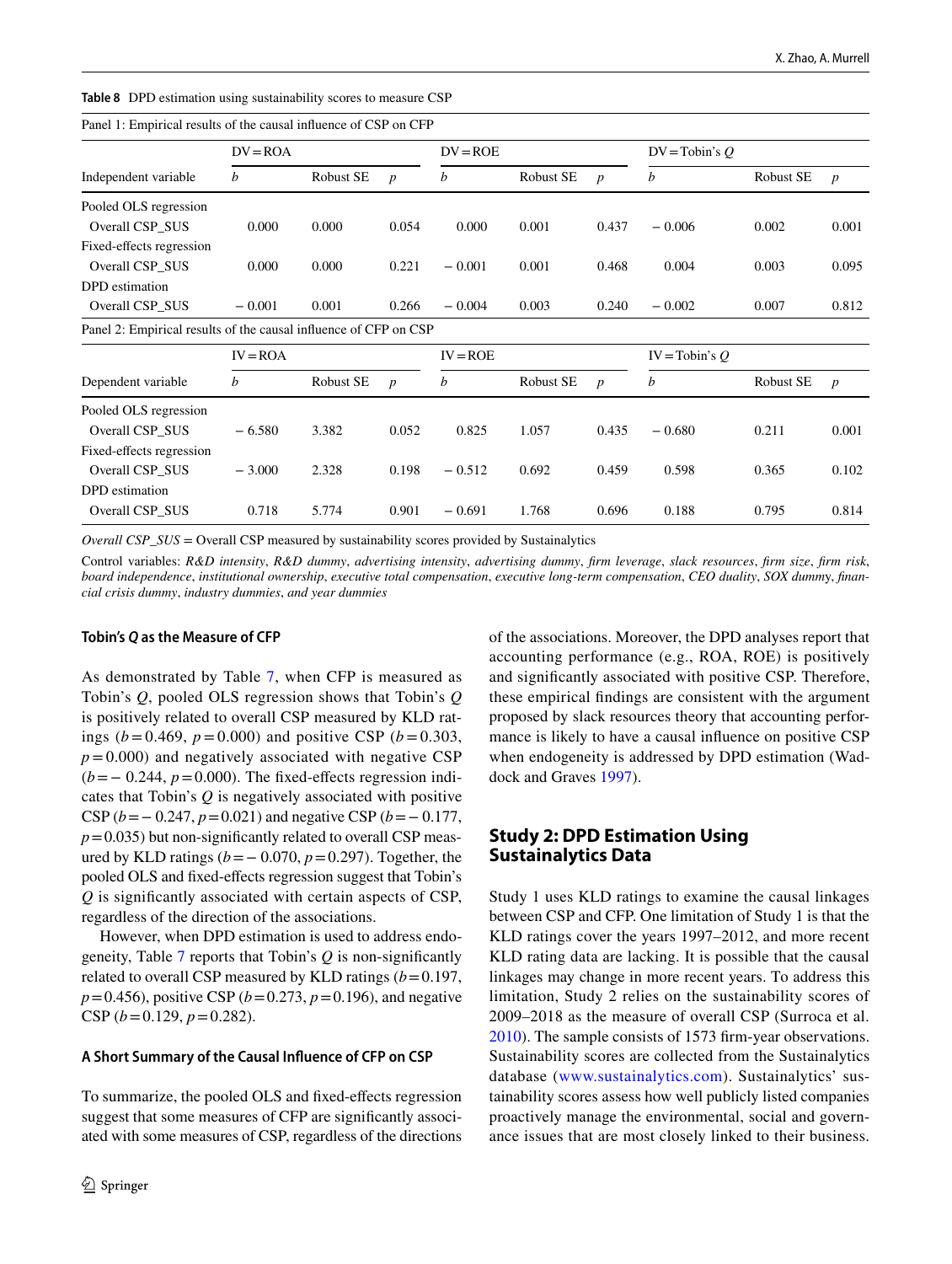<span id="page-13-0"></span>

| <b>Table 8</b> DPD estimation using sustainability scores to measure CSP |  |
|--------------------------------------------------------------------------|--|
|--------------------------------------------------------------------------|--|

| Panel 1: Empirical results of the causal influence of CSP on CFP |            |           |                  |            |           |                  |                  |           |                  |  |  |
|------------------------------------------------------------------|------------|-----------|------------------|------------|-----------|------------------|------------------|-----------|------------------|--|--|
|                                                                  | $DV = ROA$ |           |                  | $DV = ROE$ |           |                  | $DV = Tobin's Q$ |           |                  |  |  |
| Independent variable                                             | b          | Robust SE | $\boldsymbol{p}$ | b          | Robust SE | $\boldsymbol{p}$ | b                | Robust SE | $\boldsymbol{p}$ |  |  |
| Pooled OLS regression                                            |            |           |                  |            |           |                  |                  |           |                  |  |  |
| Overall CSP SUS                                                  | 0.000      | 0.000     | 0.054            | 0.000      | 0.001     | 0.437            | $-0.006$         | 0.002     | 0.001            |  |  |
| Fixed-effects regression                                         |            |           |                  |            |           |                  |                  |           |                  |  |  |
| Overall CSP_SUS                                                  | 0.000      | 0.000     | 0.221            | $-0.001$   | 0.001     | 0.468            | 0.004            | 0.003     | 0.095            |  |  |
| DPD estimation                                                   |            |           |                  |            |           |                  |                  |           |                  |  |  |
| Overall CSP SUS                                                  | $-0.001$   | 0.001     | 0.266            | $-0.004$   | 0.003     | 0.240            | $-0.002$         | 0.007     | 0.812            |  |  |
| Panel 2: Empirical results of the causal influence of CFP on CSP |            |           |                  |            |           |                  |                  |           |                  |  |  |
|                                                                  | $IV = ROA$ |           |                  | $IV = ROE$ |           |                  | $IV = Tobin's Q$ |           |                  |  |  |
| Dependent variable                                               | b          | Robust SE | $\boldsymbol{p}$ | b          | Robust SE | $\boldsymbol{p}$ | b                | Robust SE | $\boldsymbol{p}$ |  |  |
| Pooled OLS regression                                            |            |           |                  |            |           |                  |                  |           |                  |  |  |
| Overall CSP_SUS                                                  | $-6.580$   | 3.382     | 0.052            | 0.825      | 1.057     | 0.435            | $-0.680$         | 0.211     | 0.001            |  |  |
| Fixed-effects regression                                         |            |           |                  |            |           |                  |                  |           |                  |  |  |
| Overall CSP SUS                                                  | $-3.000$   | 2.328     | 0.198            | $-0.512$   | 0.692     | 0.459            | 0.598            | 0.365     | 0.102            |  |  |
| DPD estimation                                                   |            |           |                  |            |           |                  |                  |           |                  |  |  |
| Overall CSP_SUS                                                  | 0.718      | 5.774     | 0.901            | $-0.691$   | 1.768     | 0.696            | 0.188            | 0.795     | 0.814            |  |  |

*Overall CSP\_SUS* = Overall CSP measured by sustainability scores provided by Sustainalytics

Control variables: *R&D intensity*, *R&D dummy*, *advertising intensity*, *advertising dummy*, *frm leverage*, *slack resources*, *frm size*, *frm risk*, *board independence*, *institutional ownership*, *executive total compensation*, *executive long-term compensation*, *CEO duality*, *SOX dumm*y, *fnancial crisis dummy*, *industry dummies*, *and year dummies*

#### **Tobin's** *Q* **as the Measure of CFP**

As demonstrated by Table [7](#page-12-0), when CFP is measured as Tobin's *Q*, pooled OLS regression shows that Tobin's *Q* is positively related to overall CSP measured by KLD ratings ( $b = 0.469$ ,  $p = 0.000$ ) and positive CSP ( $b = 0.303$ ,  $p = 0.000$ ) and negatively associated with negative CSP (*b* = − 0.244, *p* = 0.000). The fixed-effects regression indicates that Tobin's *Q* is negatively associated with positive CSP (*b*=− 0.247, *p*=0.021) and negative CSP (*b*=− 0.177,  $p=0.035$ ) but non-significantly related to overall CSP measured by KLD ratings (*b*=− 0.070, *p*=0.297). Together, the pooled OLS and fxed-efects regression suggest that Tobin's *Q* is signifcantly associated with certain aspects of CSP, regardless of the direction of the associations.

However, when DPD estimation is used to address endogeneity, Table [7](#page-12-0) reports that Tobin's *Q* is non-signifcantly related to overall CSP measured by KLD ratings  $(b=0.197,$  $p = 0.456$ , positive CSP ( $b = 0.273$ ,  $p = 0.196$ ), and negative CSP  $(b=0.129, p=0.282)$ .

#### **A Short Summary of the Causal Infuence of CFP on CSP**

To summarize, the pooled OLS and fxed-efects regression suggest that some measures of CFP are signifcantly associated with some measures of CSP, regardless of the directions of the associations. Moreover, the DPD analyses report that accounting performance (e.g., ROA, ROE) is positively and signifcantly associated with positive CSP. Therefore, these empirical fndings are consistent with the argument proposed by slack resources theory that accounting performance is likely to have a causal infuence on positive CSP when endogeneity is addressed by DPD estimation (Waddock and Graves [1997\)](#page-18-2).

## **Study 2: DPD Estimation Using Sustainalytics Data**

Study 1 uses KLD ratings to examine the causal linkages between CSP and CFP. One limitation of Study 1 is that the KLD ratings cover the years 1997–2012, and more recent KLD rating data are lacking. It is possible that the causal linkages may change in more recent years. To address this limitation, Study 2 relies on the sustainability scores of 2009–2018 as the measure of overall CSP (Surroca et al. [2010](#page-18-1)). The sample consists of 1573 frm-year observations. Sustainability scores are collected from the Sustainalytics database ([www.sustainalytics.com](http://www.sustainalytics.com)). Sustainalytics' sustainability scores assess how well publicly listed companies proactively manage the environmental, social and governance issues that are most closely linked to their business.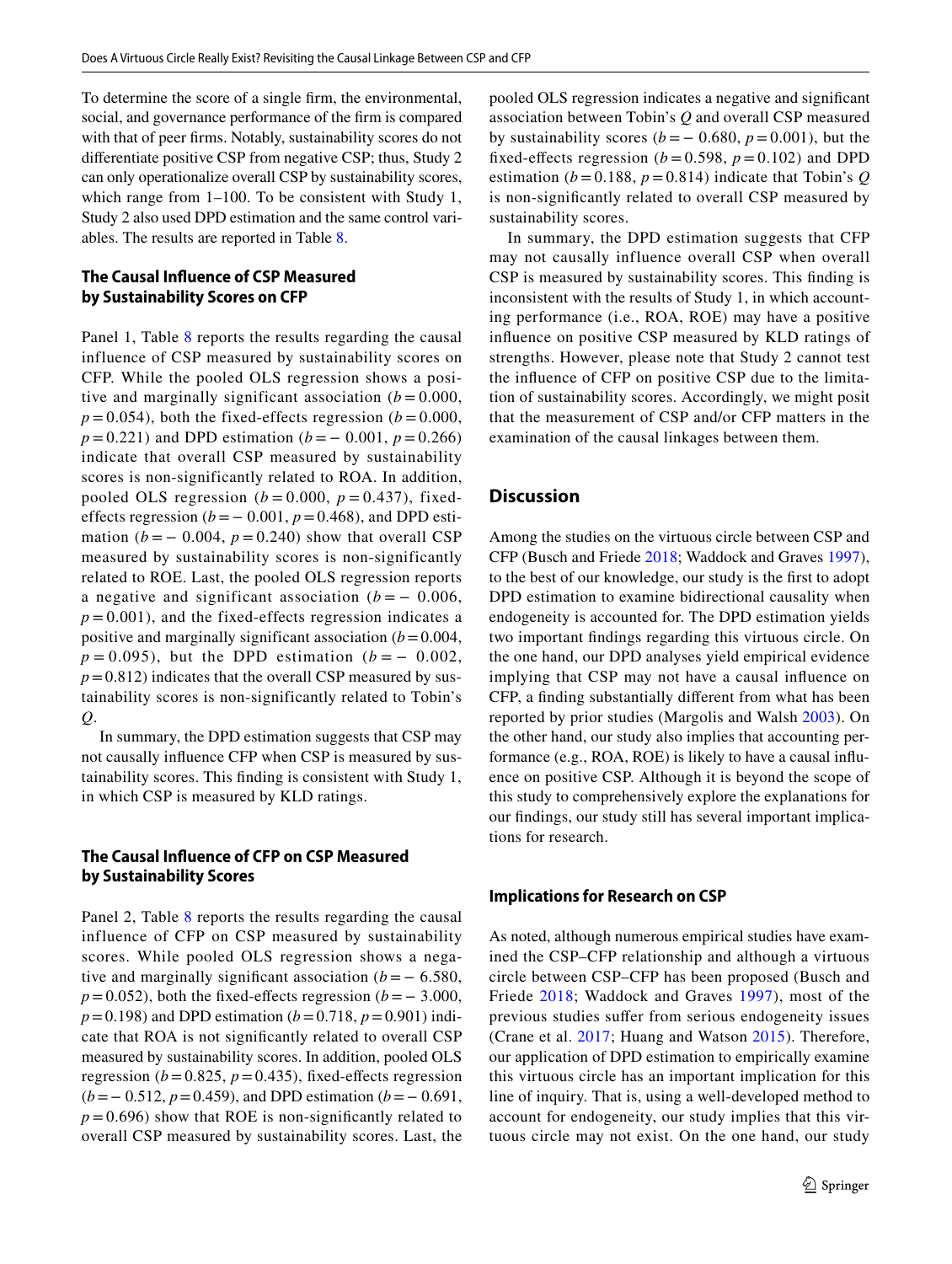To determine the score of a single frm, the environmental, social, and governance performance of the frm is compared with that of peer frms. Notably, sustainability scores do not diferentiate positive CSP from negative CSP; thus, Study 2 can only operationalize overall CSP by sustainability scores, which range from 1–100. To be consistent with Study 1, Study 2 also used DPD estimation and the same control variables. The results are reported in Table [8](#page-13-0).

## **The Causal Infuence of CSP Measured by Sustainability Scores on CFP**

Panel 1, Table [8](#page-13-0) reports the results regarding the causal influence of CSP measured by sustainability scores on CFP. While the pooled OLS regression shows a positive and marginally significant association  $(b = 0.000,$  $p = 0.054$ ), both the fixed-effects regression ( $b = 0.000$ ), *p* = 0.221) and DPD estimation (*b* =  $-$  0.001, *p* = 0.266) indicate that overall CSP measured by sustainability scores is non-significantly related to ROA. In addition, pooled OLS regression  $(b = 0.000, p = 0.437)$ , fixedeffects regression ( $b = 0.001$ ,  $p = 0.468$ ), and DPD estimation ( $b = -0.004$ ,  $p = 0.240$ ) show that overall CSP measured by sustainability scores is non-significantly related to ROE. Last, the pooled OLS regression reports a negative and significant association  $(b = -0.006,$  $p = 0.001$ ), and the fixed-effects regression indicates a positive and marginally significant association  $(b=0.004,$  $p = 0.095$ , but the DPD estimation ( $b = -0.002$ ,  $p=0.812$ ) indicates that the overall CSP measured by sustainability scores is non-significantly related to Tobin's *Q*.

In summary, the DPD estimation suggests that CSP may not causally infuence CFP when CSP is measured by sustainability scores. This fnding is consistent with Study 1, in which CSP is measured by KLD ratings.

## **The Causal Infuence of CFP on CSP Measured by Sustainability Scores**

Panel 2, Table [8](#page-13-0) reports the results regarding the causal influence of CFP on CSP measured by sustainability scores. While pooled OLS regression shows a negative and marginally significant association  $(b = -6.580,$  $p=0.052$ ), both the fixed-effects regression ( $b=-3.000$ , *p*=0.198) and DPD estimation (*b*=0.718, *p*=0.901) indicate that ROA is not signifcantly related to overall CSP measured by sustainability scores. In addition, pooled OLS regression ( $b = 0.825$ ,  $p = 0.435$ ), fixed-effects regression (*b*=− 0.512, *p*=0.459), and DPD estimation (*b*=− 0.691,  $p = 0.696$ ) show that ROE is non-significantly related to overall CSP measured by sustainability scores. Last, the pooled OLS regression indicates a negative and signifcant association between Tobin's *Q* and overall CSP measured by sustainability scores ( $b = -0.680$ ,  $p = 0.001$ ), but the fixed-effects regression ( $b = 0.598$ ,  $p = 0.102$ ) and DPD estimation ( $b = 0.188$ ,  $p = 0.814$ ) indicate that Tobin's *Q* is non-signifcantly related to overall CSP measured by sustainability scores.

In summary, the DPD estimation suggests that CFP may not causally influence overall CSP when overall CSP is measured by sustainability scores. This fnding is inconsistent with the results of Study 1, in which accounting performance (i.e., ROA, ROE) may have a positive infuence on positive CSP measured by KLD ratings of strengths. However, please note that Study 2 cannot test the infuence of CFP on positive CSP due to the limitation of sustainability scores. Accordingly, we might posit that the measurement of CSP and/or CFP matters in the examination of the causal linkages between them.

## **Discussion**

Among the studies on the virtuous circle between CSP and CFP (Busch and Friede [2018](#page-17-1); Waddock and Graves [1997](#page-18-2)), to the best of our knowledge, our study is the frst to adopt DPD estimation to examine bidirectional causality when endogeneity is accounted for. The DPD estimation yields two important fndings regarding this virtuous circle. On the one hand, our DPD analyses yield empirical evidence implying that CSP may not have a causal infuence on CFP, a fnding substantially diferent from what has been reported by prior studies (Margolis and Walsh [2003\)](#page-18-0). On the other hand, our study also implies that accounting performance (e.g., ROA, ROE) is likely to have a causal infuence on positive CSP. Although it is beyond the scope of this study to comprehensively explore the explanations for our fndings, our study still has several important implications for research.

#### **Implications for Research on CSP**

As noted, although numerous empirical studies have examined the CSP–CFP relationship and although a virtuous circle between CSP–CFP has been proposed (Busch and Friede [2018](#page-17-1); Waddock and Graves [1997\)](#page-18-2), most of the previous studies sufer from serious endogeneity issues (Crane et al. [2017](#page-17-3); Huang and Watson [2015\)](#page-18-7). Therefore, our application of DPD estimation to empirically examine this virtuous circle has an important implication for this line of inquiry. That is, using a well-developed method to account for endogeneity, our study implies that this virtuous circle may not exist. On the one hand, our study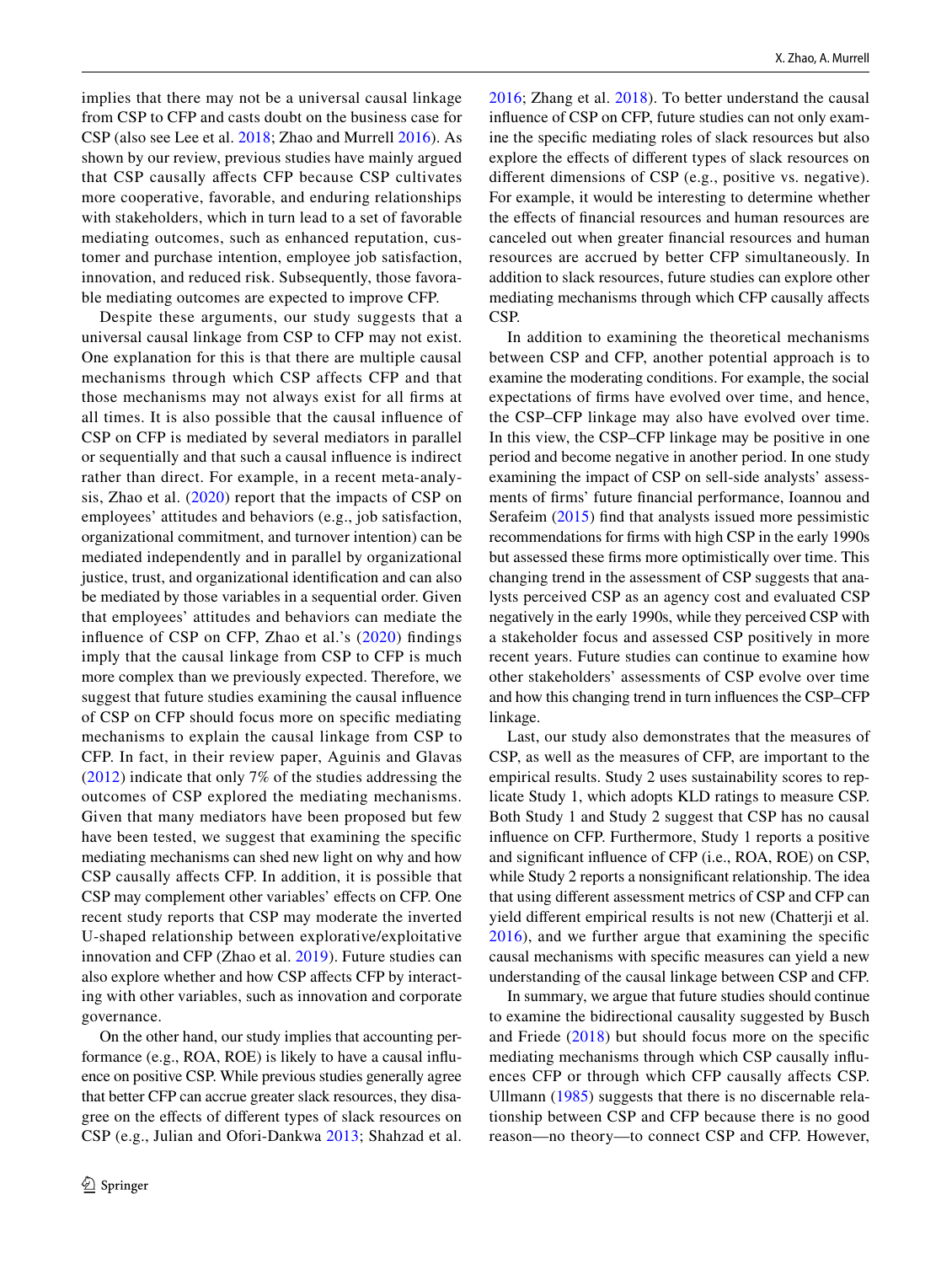implies that there may not be a universal causal linkage from CSP to CFP and casts doubt on the business case for CSP (also see Lee et al. [2018](#page-18-12); Zhao and Murrell [2016\)](#page-19-1). As shown by our review, previous studies have mainly argued that CSP causally afects CFP because CSP cultivates more cooperative, favorable, and enduring relationships with stakeholders, which in turn lead to a set of favorable mediating outcomes, such as enhanced reputation, customer and purchase intention, employee job satisfaction, innovation, and reduced risk. Subsequently, those favorable mediating outcomes are expected to improve CFP.

Despite these arguments, our study suggests that a universal causal linkage from CSP to CFP may not exist. One explanation for this is that there are multiple causal mechanisms through which CSP affects CFP and that those mechanisms may not always exist for all frms at all times. It is also possible that the causal infuence of CSP on CFP is mediated by several mediators in parallel or sequentially and that such a causal infuence is indirect rather than direct. For example, in a recent meta-analysis, Zhao et al. ([2020\)](#page-19-3) report that the impacts of CSP on employees' attitudes and behaviors (e.g., job satisfaction, organizational commitment, and turnover intention) can be mediated independently and in parallel by organizational justice, trust, and organizational identifcation and can also be mediated by those variables in a sequential order. Given that employees' attitudes and behaviors can mediate the infuence of CSP on CFP, Zhao et al.'s ([2020\)](#page-19-3) fndings imply that the causal linkage from CSP to CFP is much more complex than we previously expected. Therefore, we suggest that future studies examining the causal infuence of CSP on CFP should focus more on specifc mediating mechanisms to explain the causal linkage from CSP to CFP. In fact, in their review paper, Aguinis and Glavas ([2012](#page-17-0)) indicate that only 7% of the studies addressing the outcomes of CSP explored the mediating mechanisms. Given that many mediators have been proposed but few have been tested, we suggest that examining the specifc mediating mechanisms can shed new light on why and how CSP causally afects CFP. In addition, it is possible that CSP may complement other variables' effects on CFP. One recent study reports that CSP may moderate the inverted U-shaped relationship between explorative/exploitative innovation and CFP (Zhao et al. [2019\)](#page-19-7). Future studies can also explore whether and how CSP afects CFP by interacting with other variables, such as innovation and corporate governance.

On the other hand, our study implies that accounting performance (e.g., ROA, ROE) is likely to have a causal infuence on positive CSP. While previous studies generally agree that better CFP can accrue greater slack resources, they disagree on the efects of diferent types of slack resources on CSP (e.g., Julian and Ofori-Dankwa [2013;](#page-18-24) Shahzad et al. [2016;](#page-18-23) Zhang et al. [2018](#page-19-4)). To better understand the causal infuence of CSP on CFP, future studies can not only examine the specifc mediating roles of slack resources but also explore the efects of diferent types of slack resources on diferent dimensions of CSP (e.g., positive vs. negative). For example, it would be interesting to determine whether the effects of financial resources and human resources are canceled out when greater fnancial resources and human resources are accrued by better CFP simultaneously. In addition to slack resources, future studies can explore other mediating mechanisms through which CFP causally afects CSP.

In addition to examining the theoretical mechanisms between CSP and CFP, another potential approach is to examine the moderating conditions. For example, the social expectations of frms have evolved over time, and hence, the CSP–CFP linkage may also have evolved over time. In this view, the CSP–CFP linkage may be positive in one period and become negative in another period. In one study examining the impact of CSP on sell-side analysts' assessments of frms' future fnancial performance, Ioannou and Serafeim ([2015\)](#page-18-38) fnd that analysts issued more pessimistic recommendations for frms with high CSP in the early 1990s but assessed these frms more optimistically over time. This changing trend in the assessment of CSP suggests that analysts perceived CSP as an agency cost and evaluated CSP negatively in the early 1990s, while they perceived CSP with a stakeholder focus and assessed CSP positively in more recent years. Future studies can continue to examine how other stakeholders' assessments of CSP evolve over time and how this changing trend in turn infuences the CSP–CFP linkage.

Last, our study also demonstrates that the measures of CSP, as well as the measures of CFP, are important to the empirical results. Study 2 uses sustainability scores to replicate Study 1, which adopts KLD ratings to measure CSP. Both Study 1 and Study 2 suggest that CSP has no causal infuence on CFP. Furthermore, Study 1 reports a positive and signifcant infuence of CFP (i.e., ROA, ROE) on CSP, while Study 2 reports a nonsignifcant relationship. The idea that using diferent assessment metrics of CSP and CFP can yield diferent empirical results is not new (Chatterji et al. [2016\)](#page-17-27), and we further argue that examining the specifc causal mechanisms with specifc measures can yield a new understanding of the causal linkage between CSP and CFP.

In summary, we argue that future studies should continue to examine the bidirectional causality suggested by Busch and Friede  $(2018)$  $(2018)$  but should focus more on the specific mediating mechanisms through which CSP causally infuences CFP or through which CFP causally afects CSP. Ullmann ([1985](#page-18-39)) suggests that there is no discernable relationship between CSP and CFP because there is no good reason—no theory—to connect CSP and CFP. However,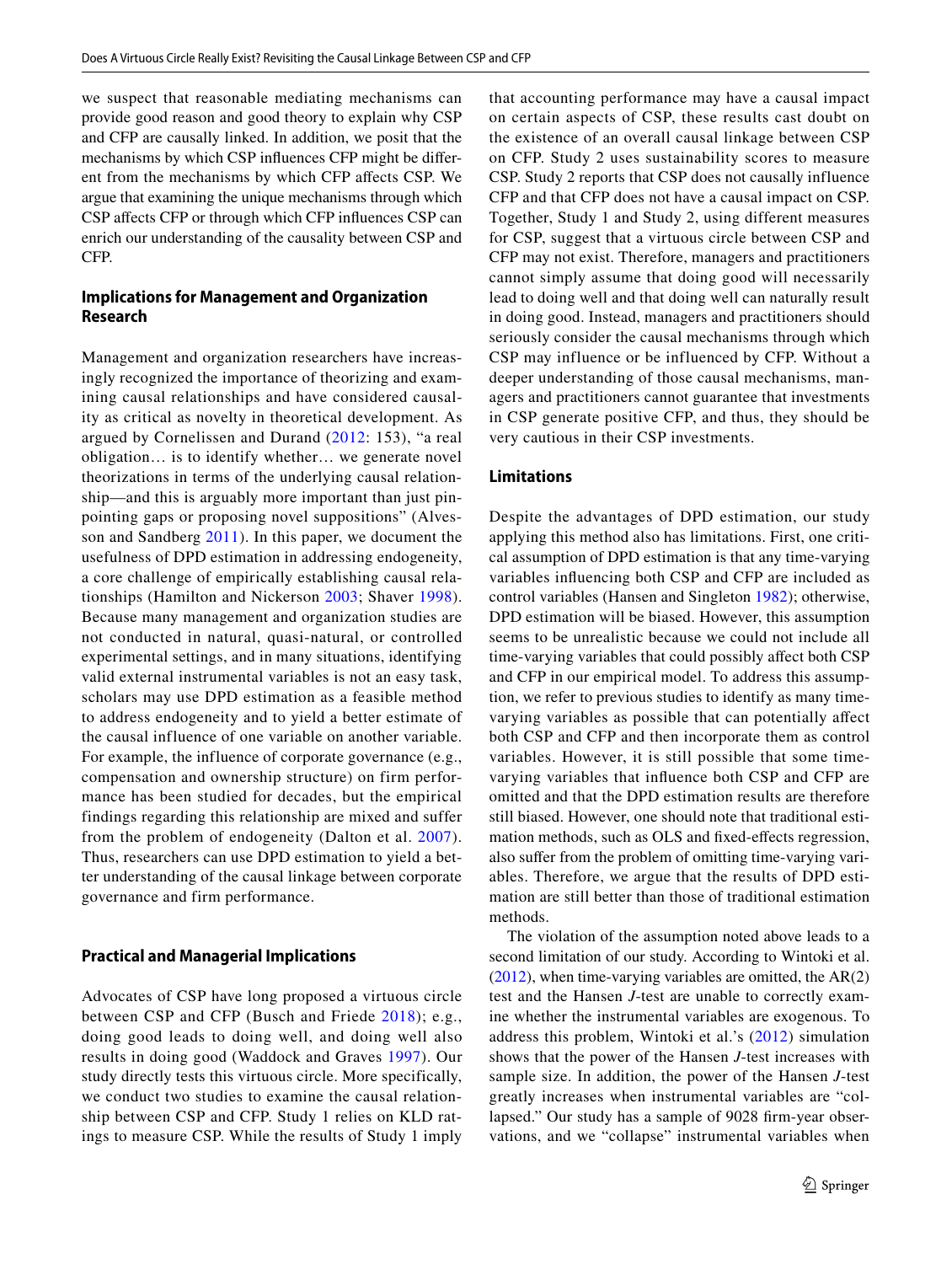we suspect that reasonable mediating mechanisms can provide good reason and good theory to explain why CSP and CFP are causally linked. In addition, we posit that the mechanisms by which CSP infuences CFP might be diferent from the mechanisms by which CFP afects CSP. We argue that examining the unique mechanisms through which CSP affects CFP or through which CFP influences CSP can enrich our understanding of the causality between CSP and CFP.

## **Implications for Management and Organization Research**

Management and organization researchers have increasingly recognized the importance of theorizing and examining causal relationships and have considered causality as critical as novelty in theoretical development. As argued by Cornelissen and Durand ([2012:](#page-17-28) 153), "a real obligation… is to identify whether… we generate novel theorizations in terms of the underlying causal relationship—and this is arguably more important than just pinpointing gaps or proposing novel suppositions" (Alvesson and Sandberg [2011\)](#page-17-29). In this paper, we document the usefulness of DPD estimation in addressing endogeneity, a core challenge of empirically establishing causal relationships (Hamilton and Nickerson [2003](#page-18-40); Shaver [1998](#page-18-41)). Because many management and organization studies are not conducted in natural, quasi-natural, or controlled experimental settings, and in many situations, identifying valid external instrumental variables is not an easy task, scholars may use DPD estimation as a feasible method to address endogeneity and to yield a better estimate of the causal influence of one variable on another variable. For example, the influence of corporate governance (e.g., compensation and ownership structure) on firm performance has been studied for decades, but the empirical findings regarding this relationship are mixed and suffer from the problem of endogeneity (Dalton et al. [2007\)](#page-17-30). Thus, researchers can use DPD estimation to yield a better understanding of the causal linkage between corporate governance and firm performance.

#### **Practical and Managerial Implications**

Advocates of CSP have long proposed a virtuous circle between CSP and CFP (Busch and Friede [2018](#page-17-1)); e.g., doing good leads to doing well, and doing well also results in doing good (Waddock and Graves [1997\)](#page-18-2). Our study directly tests this virtuous circle. More specifically, we conduct two studies to examine the causal relationship between CSP and CFP. Study 1 relies on KLD ratings to measure CSP. While the results of Study 1 imply that accounting performance may have a causal impact on certain aspects of CSP, these results cast doubt on the existence of an overall causal linkage between CSP on CFP. Study 2 uses sustainability scores to measure CSP. Study 2 reports that CSP does not causally influence CFP and that CFP does not have a causal impact on CSP. Together, Study 1 and Study 2, using different measures for CSP, suggest that a virtuous circle between CSP and CFP may not exist. Therefore, managers and practitioners cannot simply assume that doing good will necessarily lead to doing well and that doing well can naturally result in doing good. Instead, managers and practitioners should seriously consider the causal mechanisms through which CSP may influence or be influenced by CFP. Without a deeper understanding of those causal mechanisms, managers and practitioners cannot guarantee that investments in CSP generate positive CFP, and thus, they should be very cautious in their CSP investments.

## **Limitations**

Despite the advantages of DPD estimation, our study applying this method also has limitations. First, one critical assumption of DPD estimation is that any time-varying variables infuencing both CSP and CFP are included as control variables (Hansen and Singleton [1982\)](#page-18-31); otherwise, DPD estimation will be biased. However, this assumption seems to be unrealistic because we could not include all time-varying variables that could possibly afect both CSP and CFP in our empirical model. To address this assumption, we refer to previous studies to identify as many timevarying variables as possible that can potentially afect both CSP and CFP and then incorporate them as control variables. However, it is still possible that some timevarying variables that infuence both CSP and CFP are omitted and that the DPD estimation results are therefore still biased. However, one should note that traditional estimation methods, such as OLS and fxed-efects regression, also sufer from the problem of omitting time-varying variables. Therefore, we argue that the results of DPD estimation are still better than those of traditional estimation methods.

The violation of the assumption noted above leads to a second limitation of our study. According to Wintoki et al. [\(2012\)](#page-19-0), when time-varying variables are omitted, the AR(2) test and the Hansen *J*-test are unable to correctly examine whether the instrumental variables are exogenous. To address this problem, Wintoki et al.'s ([2012](#page-19-0)) simulation shows that the power of the Hansen *J*-test increases with sample size. In addition, the power of the Hansen *J*-test greatly increases when instrumental variables are "collapsed." Our study has a sample of 9028 frm-year observations, and we "collapse" instrumental variables when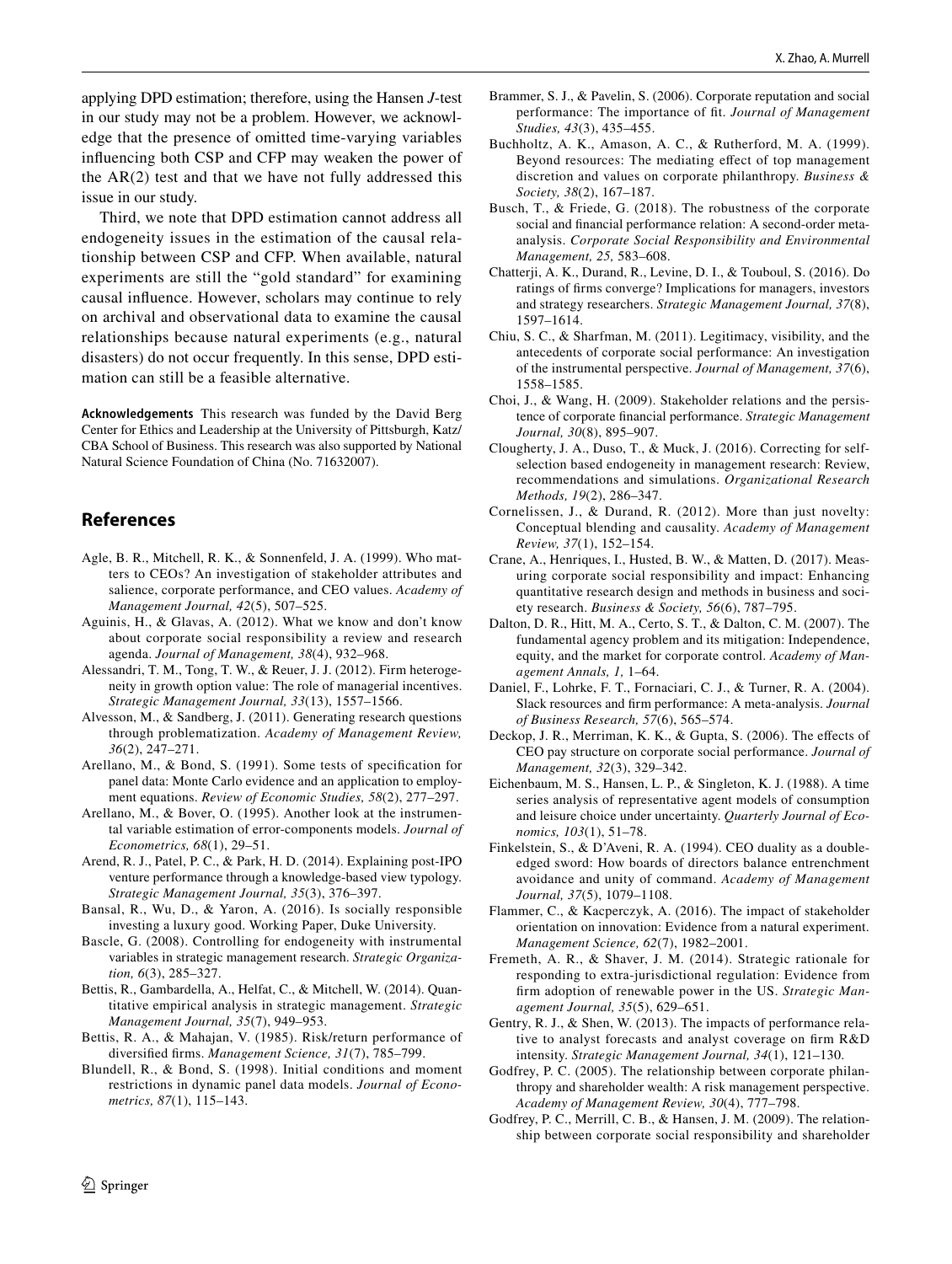Third, we note that DPD estimation cannot address all endogeneity issues in the estimation of the causal relationship between CSP and CFP. When available, natural experiments are still the "gold standard" for examining causal infuence. However, scholars may continue to rely on archival and observational data to examine the causal relationships because natural experiments (e.g., natural disasters) do not occur frequently. In this sense, DPD estimation can still be a feasible alternative.

**Acknowledgements** This research was funded by the David Berg Center for Ethics and Leadership at the University of Pittsburgh, Katz/ CBA School of Business. This research was also supported by National Natural Science Foundation of China (No. 71632007).

## **References**

- <span id="page-17-16"></span>Agle, B. R., Mitchell, R. K., & Sonnenfeld, J. A. (1999). Who matters to CEOs? An investigation of stakeholder attributes and salience, corporate performance, and CEO values. *Academy of Management Journal, 42*(5), 507–525.
- <span id="page-17-0"></span>Aguinis, H., & Glavas, A. (2012). What we know and don't know about corporate social responsibility a review and research agenda. *Journal of Management, 38*(4), 932–968.
- <span id="page-17-6"></span>Alessandri, T. M., Tong, T. W., & Reuer, J. J. (2012). Firm heterogeneity in growth option value: The role of managerial incentives. *Strategic Management Journal, 33*(13), 1557–1566.
- <span id="page-17-29"></span>Alvesson, M., & Sandberg, J. (2011). Generating research questions through problematization. *Academy of Management Review, 36*(2), 247–271.
- <span id="page-17-4"></span>Arellano, M., & Bond, S. (1991). Some tests of specifcation for panel data: Monte Carlo evidence and an application to employment equations. *Review of Economic Studies, 58*(2), 277–297.
- <span id="page-17-25"></span>Arellano, M., & Bover, O. (1995). Another look at the instrumental variable estimation of error-components models. *Journal of Econometrics, 68*(1), 29–51.
- <span id="page-17-7"></span>Arend, R. J., Patel, P. C., & Park, H. D. (2014). Explaining post-IPO venture performance through a knowledge-based view typology. *Strategic Management Journal, 35*(3), 376–397.
- <span id="page-17-24"></span>Bansal, R., Wu, D., & Yaron, A. (2016). Is socially responsible investing a luxury good. Working Paper, Duke University.
- <span id="page-17-15"></span>Bascle, G. (2008). Controlling for endogeneity with instrumental variables in strategic management research. *Strategic Organization, 6*(3), 285–327.
- <span id="page-17-9"></span>Bettis, R., Gambardella, A., Helfat, C., & Mitchell, W. (2014). Quantitative empirical analysis in strategic management. *Strategic Management Journal, 35*(7), 949–953.
- <span id="page-17-20"></span>Bettis, R. A., & Mahajan, V. (1985). Risk/return performance of diversifed frms. *Management Science, 31*(7), 785–799.
- <span id="page-17-5"></span>Blundell, R., & Bond, S. (1998). Initial conditions and moment restrictions in dynamic panel data models. *Journal of Econometrics, 87*(1), 115–143.
- <span id="page-17-10"></span>Brammer, S. J., & Pavelin, S. (2006). Corporate reputation and social performance: The importance of ft. *Journal of Management Studies, 43*(3), 435–455.
- <span id="page-17-14"></span>Buchholtz, A. K., Amason, A. C., & Rutherford, M. A. (1999). Beyond resources: The mediating efect of top management discretion and values on corporate philanthropy. *Business & Society, 38*(2), 167–187.
- <span id="page-17-1"></span>Busch, T., & Friede, G. (2018). The robustness of the corporate social and fnancial performance relation: A second-order metaanalysis. *Corporate Social Responsibility and Environmental Management, 25,* 583–608.
- <span id="page-17-27"></span>Chatterji, A. K., Durand, R., Levine, D. I., & Touboul, S. (2016). Do ratings of frms converge? Implications for managers, investors and strategy researchers. *Strategic Management Journal, 37*(8), 1597–1614.
- <span id="page-17-2"></span>Chiu, S. C., & Sharfman, M. (2011). Legitimacy, visibility, and the antecedents of corporate social performance: An investigation of the instrumental perspective. *Journal of Management, 37*(6), 1558–1585.
- <span id="page-17-17"></span>Choi, J., & Wang, H. (2009). Stakeholder relations and the persistence of corporate fnancial performance. *Strategic Management Journal, 30*(8), 895–907.
- <span id="page-17-18"></span>Clougherty, J. A., Duso, T., & Muck, J. (2016). Correcting for selfselection based endogeneity in management research: Review, recommendations and simulations. *Organizational Research Methods, 19*(2), 286–347.
- <span id="page-17-28"></span>Cornelissen, J., & Durand, R. (2012). More than just novelty: Conceptual blending and causality. *Academy of Management Review, 37*(1), 152–154.
- <span id="page-17-3"></span>Crane, A., Henriques, I., Husted, B. W., & Matten, D. (2017). Measuring corporate social responsibility and impact: Enhancing quantitative research design and methods in business and society research. *Business & Society, 56*(6), 787–795.
- <span id="page-17-30"></span>Dalton, D. R., Hitt, M. A., Certo, S. T., & Dalton, C. M. (2007). The fundamental agency problem and its mitigation: Independence, equity, and the market for corporate control. *Academy of Management Annals, 1,* 1–64.
- <span id="page-17-19"></span>Daniel, F., Lohrke, F. T., Fornaciari, C. J., & Turner, R. A. (2004). Slack resources and frm performance: A meta-analysis. *Journal of Business Research, 57*(6), 565–574.
- <span id="page-17-21"></span>Deckop, J. R., Merriman, K. K., & Gupta, S. (2006). The effects of CEO pay structure on corporate social performance. *Journal of Management, 32*(3), 329–342.
- <span id="page-17-26"></span>Eichenbaum, M. S., Hansen, L. P., & Singleton, K. J. (1988). A time series analysis of representative agent models of consumption and leisure choice under uncertainty. *Quarterly Journal of Economics, 103*(1), 51–78.
- <span id="page-17-22"></span>Finkelstein, S., & D'Aveni, R. A. (1994). CEO duality as a doubleedged sword: How boards of directors balance entrenchment avoidance and unity of command. *Academy of Management Journal, 37*(5), 1079–1108.
- <span id="page-17-11"></span>Flammer, C., & Kacperczyk, A. (2016). The impact of stakeholder orientation on innovation: Evidence from a natural experiment. *Management Science, 62*(7), 1982–2001.
- <span id="page-17-8"></span>Fremeth, A. R., & Shaver, J. M. (2014). Strategic rationale for responding to extra-jurisdictional regulation: Evidence from frm adoption of renewable power in the US. *Strategic Management Journal, 35*(5), 629–651.
- <span id="page-17-23"></span>Gentry, R. J., & Shen, W. (2013). The impacts of performance relative to analyst forecasts and analyst coverage on frm R&D intensity. *Strategic Management Journal, 34*(1), 121–130.
- <span id="page-17-12"></span>Godfrey, P. C. (2005). The relationship between corporate philanthropy and shareholder wealth: A risk management perspective. *Academy of Management Review, 30*(4), 777–798.
- <span id="page-17-13"></span>Godfrey, P. C., Merrill, C. B., & Hansen, J. M. (2009). The relationship between corporate social responsibility and shareholder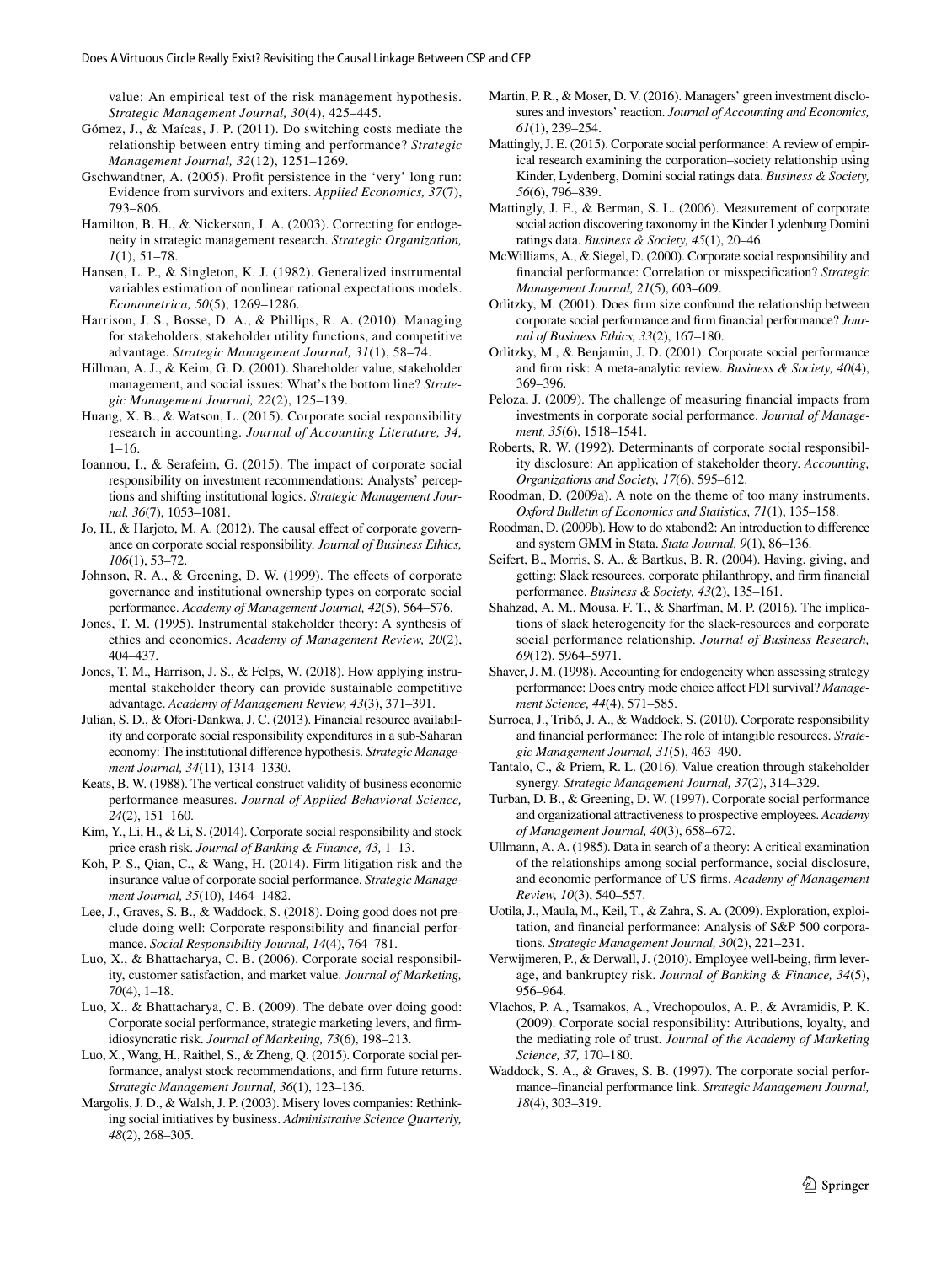value: An empirical test of the risk management hypothesis. *Strategic Management Journal, 30*(4), 425–445.

- <span id="page-18-9"></span>Gómez, J., & Maícas, J. P. (2011). Do switching costs mediate the relationship between entry timing and performance? *Strategic Management Journal, 32*(12), 1251–1269.
- <span id="page-18-37"></span>Gschwandtner, A. (2005). Proft persistence in the 'very' long run: Evidence from survivors and exiters. *Applied Economics, 37*(7), 793–806.
- <span id="page-18-40"></span>Hamilton, B. H., & Nickerson, J. A. (2003). Correcting for endogeneity in strategic management research. *Strategic Organization, 1*(1), 51–78.
- <span id="page-18-31"></span>Hansen, L. P., & Singleton, K. J. (1982). Generalized instrumental variables estimation of nonlinear rational expectations models. *Econometrica, 50*(5), 1269–1286.
- <span id="page-18-16"></span>Harrison, J. S., Bosse, D. A., & Phillips, R. A. (2010). Managing for stakeholders, stakeholder utility functions, and competitive advantage. *Strategic Management Journal, 31*(1), 58–74.
- <span id="page-18-28"></span>Hillman, A. J., & Keim, G. D. (2001). Shareholder value, stakeholder management, and social issues: What's the bottom line? *Strategic Management Journal, 22*(2), 125–139.
- <span id="page-18-7"></span>Huang, X. B., & Watson, L. (2015). Corporate social responsibility research in accounting. *Journal of Accounting Literature, 34,* 1–16.
- <span id="page-18-38"></span>Ioannou, I., & Serafeim, G. (2015). The impact of corporate social responsibility on investment recommendations: Analysts' perceptions and shifting institutional logics. *Strategic Management Journal, 36*(7), 1053–1081.
- <span id="page-18-35"></span>Jo, H., & Harjoto, M. A. (2012). The causal effect of corporate governance on corporate social responsibility. *Journal of Business Ethics, 106*(1), 53–72.
- <span id="page-18-36"></span>Johnson, R. A., & Greening, D. W. (1999). The effects of corporate governance and institutional ownership types on corporate social performance. *Academy of Management Journal, 42*(5), 564–576.
- <span id="page-18-3"></span>Jones, T. M. (1995). Instrumental stakeholder theory: A synthesis of ethics and economics. *Academy of Management Review, 20*(2), 404–437.
- <span id="page-18-4"></span>Jones, T. M., Harrison, J. S., & Felps, W. (2018). How applying instrumental stakeholder theory can provide sustainable competitive advantage. *Academy of Management Review, 43*(3), 371–391.
- <span id="page-18-24"></span>Julian, S. D., & Ofori-Dankwa, J. C. (2013). Financial resource availability and corporate social responsibility expenditures in a sub-Saharan economy: The institutional diference hypothesis. *Strategic Management Journal, 34*(11), 1314–1330.
- <span id="page-18-29"></span>Keats, B. W. (1988). The vertical construct validity of business economic performance measures. *Journal of Applied Behavioral Science, 24*(2), 151–160.
- <span id="page-18-19"></span>Kim, Y., Li, H., & Li, S. (2014). Corporate social responsibility and stock price crash risk. *Journal of Banking & Finance, 43,* 1–13.
- <span id="page-18-21"></span>Koh, P. S., Qian, C., & Wang, H. (2014). Firm litigation risk and the insurance value of corporate social performance. *Strategic Management Journal, 35*(10), 1464–1482.
- <span id="page-18-12"></span>Lee, J., Graves, S. B., & Waddock, S. (2018). Doing good does not preclude doing well: Corporate responsibility and fnancial performance. *Social Responsibility Journal, 14*(4), 764–781.
- <span id="page-18-14"></span>Luo, X., & Bhattacharya, C. B. (2006). Corporate social responsibility, customer satisfaction, and market value. *Journal of Marketing, 70*(4), 1–18.
- <span id="page-18-34"></span>Luo, X., & Bhattacharya, C. B. (2009). The debate over doing good: Corporate social performance, strategic marketing levers, and frmidiosyncratic risk. *Journal of Marketing, 73*(6), 198–213.
- <span id="page-18-27"></span>Luo, X., Wang, H., Raithel, S., & Zheng, Q. (2015). Corporate social performance, analyst stock recommendations, and frm future returns. *Strategic Management Journal, 36*(1), 123–136.
- <span id="page-18-0"></span>Margolis, J. D., & Walsh, J. P. (2003). Misery loves companies: Rethinking social initiatives by business. *Administrative Science Quarterly, 48*(2), 268–305.
- <span id="page-18-30"></span>Martin, P. R., & Moser, D. V. (2016). Managers' green investment disclosures and investors' reaction. *Journal of Accounting and Economics, 61*(1), 239–254.
- <span id="page-18-5"></span>Mattingly, J. E. (2015). Corporate social performance: A review of empirical research examining the corporation–society relationship using Kinder, Lydenberg, Domini social ratings data. *Business & Society, 56*(6), 796–839.
- <span id="page-18-6"></span>Mattingly, J. E., & Berman, S. L. (2006). Measurement of corporate social action discovering taxonomy in the Kinder Lydenburg Domini ratings data. *Business & Society, 45*(1), 20–46.
- <span id="page-18-8"></span>McWilliams, A., & Siegel, D. (2000). Corporate social responsibility and fnancial performance: Correlation or misspecifcation? *Strategic Management Journal, 21*(5), 603–609.
- <span id="page-18-33"></span>Orlitzky, M. (2001). Does frm size confound the relationship between corporate social performance and frm fnancial performance? *Journal of Business Ethics, 33*(2), 167–180.
- <span id="page-18-18"></span>Orlitzky, M., & Benjamin, J. D. (2001). Corporate social performance and frm risk: A meta-analytic review. *Business & Society, 40*(4), 369–396.
- <span id="page-18-26"></span>Peloza, J. (2009). The challenge of measuring fnancial impacts from investments in corporate social performance. *Journal of Management, 35*(6), 1518–1541.
- <span id="page-18-25"></span>Roberts, R. W. (1992). Determinants of corporate social responsibility disclosure: An application of stakeholder theory. *Accounting, Organizations and Society, 17*(6), 595–612.
- <span id="page-18-10"></span>Roodman, D. (2009a). A note on the theme of too many instruments. *Oxford Bulletin of Economics and Statistics, 71*(1), 135–158.
- <span id="page-18-11"></span>Roodman, D. (2009b). How to do xtabond2: An introduction to diference and system GMM in Stata. *Stata Journal, 9*(1), 86–136.
- <span id="page-18-22"></span>Seifert, B., Morris, S. A., & Bartkus, B. R. (2004). Having, giving, and getting: Slack resources, corporate philanthropy, and frm fnancial performance. *Business & Society, 43*(2), 135–161.
- <span id="page-18-23"></span>Shahzad, A. M., Mousa, F. T., & Sharfman, M. P. (2016). The implications of slack heterogeneity for the slack-resources and corporate social performance relationship. *Journal of Business Research, 69*(12), 5964–5971.
- <span id="page-18-41"></span>Shaver, J. M. (1998). Accounting for endogeneity when assessing strategy performance: Does entry mode choice afect FDI survival? *Management Science, 44*(4), 571–585.
- <span id="page-18-1"></span>Surroca, J., Tribó, J. A., & Waddock, S. (2010). Corporate responsibility and fnancial performance: The role of intangible resources. *Strategic Management Journal, 31*(5), 463–490.
- <span id="page-18-17"></span>Tantalo, C., & Priem, R. L. (2016). Value creation through stakeholder synergy. *Strategic Management Journal, 37*(2), 314–329.
- <span id="page-18-15"></span>Turban, D. B., & Greening, D. W. (1997). Corporate social performance and organizational attractiveness to prospective employees. *Academy of Management Journal, 40*(3), 658–672.
- <span id="page-18-39"></span>Ullmann, A. A. (1985). Data in search of a theory: A critical examination of the relationships among social performance, social disclosure, and economic performance of US frms. *Academy of Management Review, 10*(3), 540–557.
- <span id="page-18-32"></span>Uotila, J., Maula, M., Keil, T., & Zahra, S. A. (2009). Exploration, exploitation, and fnancial performance: Analysis of S&P 500 corporations. *Strategic Management Journal, 30*(2), 221–231.
- <span id="page-18-20"></span>Verwijmeren, P., & Derwall, J. (2010). Employee well-being, frm leverage, and bankruptcy risk. *Journal of Banking & Finance, 34*(5), 956–964.
- <span id="page-18-13"></span>Vlachos, P. A., Tsamakos, A., Vrechopoulos, A. P., & Avramidis, P. K. (2009). Corporate social responsibility: Attributions, loyalty, and the mediating role of trust. *Journal of the Academy of Marketing Science, 37,* 170–180.
- <span id="page-18-2"></span>Waddock, S. A., & Graves, S. B. (1997). The corporate social performance–fnancial performance link. *Strategic Management Journal, 18*(4), 303–319.